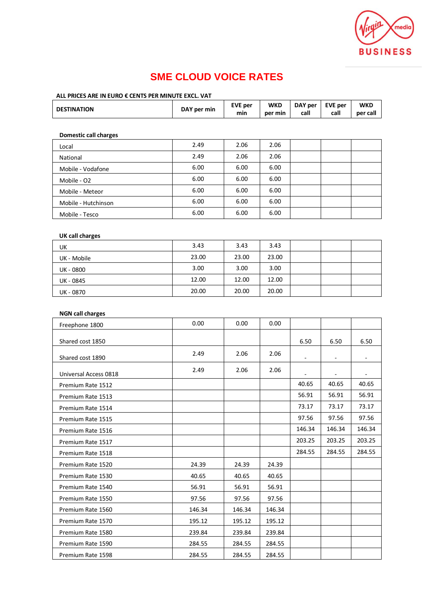

# **SME CLOUD VOICE RATES**

## **ALL PRICES ARE IN EURO € CENTS PER MINUTE EXCL. VAT**

| <b>DESTINATION</b>           | DAY per min | <b>EVE per</b><br>min | <b>WKD</b><br>per min | DAY per<br>call | <b>EVE per</b><br>call | <b>WKD</b><br>per call |
|------------------------------|-------------|-----------------------|-----------------------|-----------------|------------------------|------------------------|
| <b>Domestic call charges</b> |             |                       |                       |                 |                        |                        |
| Local                        | 2.49        | 2.06                  | 2.06                  |                 |                        |                        |
| National                     | 2.49        | 2.06                  | 2.06                  |                 |                        |                        |
| Mobile - Vodafone            | 6.00        | 6.00                  | 6.00                  |                 |                        |                        |
| Mobile - O2                  | 6.00        | 6.00                  | 6.00                  |                 |                        |                        |
| Mobile - Meteor              | 6.00        | 6.00                  | 6.00                  |                 |                        |                        |
| Mobile - Hutchinson          | 6.00        | 6.00                  | 6.00                  |                 |                        |                        |
| Mobile - Tesco               | 6.00        | 6.00                  | 6.00                  |                 |                        |                        |

### **UK call charges**

| UK          | 3.43  | 3.43  | 3.43  |  |  |
|-------------|-------|-------|-------|--|--|
| UK - Mobile | 23.00 | 23.00 | 23.00 |  |  |
| UK - 0800   | 3.00  | 3.00  | 3.00  |  |  |
| UK - 0845   | 12.00 | 12.00 | 12.00 |  |  |
| UK - 0870   | 20.00 | 20.00 | 20.00 |  |  |

### **NGN call charges**

| Freephone 1800        | 0.00   | 0.00   | 0.00   |        |        |        |
|-----------------------|--------|--------|--------|--------|--------|--------|
| Shared cost 1850      |        |        |        | 6.50   | 6.50   | 6.50   |
| Shared cost 1890      | 2.49   | 2.06   | 2.06   |        |        |        |
| Universal Access 0818 | 2.49   | 2.06   | 2.06   |        |        |        |
| Premium Rate 1512     |        |        |        | 40.65  | 40.65  | 40.65  |
| Premium Rate 1513     |        |        |        | 56.91  | 56.91  | 56.91  |
| Premium Rate 1514     |        |        |        | 73.17  | 73.17  | 73.17  |
| Premium Rate 1515     |        |        |        | 97.56  | 97.56  | 97.56  |
| Premium Rate 1516     |        |        |        | 146.34 | 146.34 | 146.34 |
| Premium Rate 1517     |        |        |        | 203.25 | 203.25 | 203.25 |
| Premium Rate 1518     |        |        |        | 284.55 | 284.55 | 284.55 |
| Premium Rate 1520     | 24.39  | 24.39  | 24.39  |        |        |        |
| Premium Rate 1530     | 40.65  | 40.65  | 40.65  |        |        |        |
| Premium Rate 1540     | 56.91  | 56.91  | 56.91  |        |        |        |
| Premium Rate 1550     | 97.56  | 97.56  | 97.56  |        |        |        |
| Premium Rate 1560     | 146.34 | 146.34 | 146.34 |        |        |        |
| Premium Rate 1570     | 195.12 | 195.12 | 195.12 |        |        |        |
| Premium Rate 1580     | 239.84 | 239.84 | 239.84 |        |        |        |
| Premium Rate 1590     | 284.55 | 284.55 | 284.55 |        |        |        |
| Premium Rate 1598     | 284.55 | 284.55 | 284.55 |        |        |        |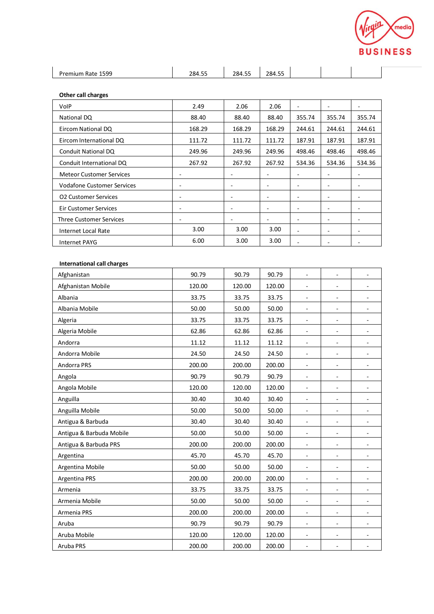

| $ -$<br>$- -$                                                                            |                 |
|------------------------------------------------------------------------------------------|-----------------|
| 500<br>284.5<br>ገጸፈ<br>.<br>--<br>ш<br>к.,<br>-- <i>--</i><br>207.99<br>$- - - - -$<br>. | $- -$<br>$\sim$ |

| Other call charges |  |
|--------------------|--|
|--------------------|--|

| VolP                            | 2.49   | 2.06                     | 2.06   | -                        | $\overline{\phantom{a}}$ |                          |
|---------------------------------|--------|--------------------------|--------|--------------------------|--------------------------|--------------------------|
| National DQ                     | 88.40  | 88.40                    | 88.40  | 355.74                   | 355.74                   | 355.74                   |
| Eircom National DQ              | 168.29 | 168.29                   | 168.29 | 244.61                   | 244.61                   | 244.61                   |
| Eircom International DQ         | 111.72 | 111.72                   | 111.72 | 187.91                   | 187.91                   | 187.91                   |
| Conduit National DQ             | 249.96 | 249.96                   | 249.96 | 498.46                   | 498.46                   | 498.46                   |
| Conduit International DQ        | 267.92 | 267.92                   | 267.92 | 534.36                   | 534.36                   | 534.36                   |
| <b>Meteor Customer Services</b> | ٠      |                          |        |                          |                          |                          |
| Vodafone Customer Services      | ٠      | $\overline{\phantom{a}}$ | ۰      | ۰                        | $\overline{\phantom{a}}$ |                          |
| <b>O2 Customer Services</b>     |        |                          |        |                          | $\overline{\phantom{a}}$ |                          |
| <b>Eir Customer Services</b>    | ٠      | -                        |        | ۰                        | $\overline{\phantom{a}}$ |                          |
| <b>Three Customer Services</b>  | ٠      | $\overline{\phantom{a}}$ | ۰      | ۰                        | $\overline{\phantom{a}}$ | $\overline{\phantom{0}}$ |
| Internet Local Rate             | 3.00   | 3.00                     | 3.00   | $\overline{\phantom{0}}$ | $\overline{\phantom{a}}$ |                          |
| <b>Internet PAYG</b>            | 6.00   | 3.00                     | 3.00   |                          |                          |                          |

## **International call charges**

| Afghanistan              | 90.79  | 90.79  | 90.79  | $\blacksquare$           | $\blacksquare$           |                          |
|--------------------------|--------|--------|--------|--------------------------|--------------------------|--------------------------|
| Afghanistan Mobile       | 120.00 | 120.00 | 120.00 | $\overline{\phantom{a}}$ | 4                        |                          |
| Albania                  | 33.75  | 33.75  | 33.75  | $\blacksquare$           |                          |                          |
| Albania Mobile           | 50.00  | 50.00  | 50.00  | $\overline{\phantom{a}}$ | ÷,                       |                          |
| Algeria                  | 33.75  | 33.75  | 33.75  | $\overline{\phantom{a}}$ | $\overline{\phantom{a}}$ |                          |
| Algeria Mobile           | 62.86  | 62.86  | 62.86  | $\overline{\phantom{a}}$ | ÷,                       |                          |
| Andorra                  | 11.12  | 11.12  | 11.12  | $\overline{\phantom{a}}$ | ÷,                       |                          |
| Andorra Mobile           | 24.50  | 24.50  | 24.50  | $\overline{\phantom{a}}$ |                          |                          |
| Andorra PRS              | 200.00 | 200.00 | 200.00 | $\blacksquare$           | ÷,                       |                          |
| Angola                   | 90.79  | 90.79  | 90.79  | $\blacksquare$           | ÷,                       |                          |
| Angola Mobile            | 120.00 | 120.00 | 120.00 | $\overline{\phantom{a}}$ | $\blacksquare$           |                          |
| Anguilla                 | 30.40  | 30.40  | 30.40  | $\overline{\phantom{a}}$ | ÷,                       |                          |
| Anguilla Mobile          | 50.00  | 50.00  | 50.00  | $\bar{\phantom{a}}$      | $\blacksquare$           |                          |
| Antigua & Barbuda        | 30.40  | 30.40  | 30.40  | $\overline{\phantom{a}}$ | ÷,                       |                          |
| Antigua & Barbuda Mobile | 50.00  | 50.00  | 50.00  | $\blacksquare$           |                          |                          |
| Antigua & Barbuda PRS    | 200.00 | 200.00 | 200.00 | $\blacksquare$           | $\blacksquare$           | $\blacksquare$           |
| Argentina                | 45.70  | 45.70  | 45.70  | $\blacksquare$           | $\blacksquare$           | $\blacksquare$           |
| Argentina Mobile         | 50.00  | 50.00  | 50.00  | $\blacksquare$           | $\overline{\phantom{a}}$ | ٠                        |
| Argentina PRS            | 200.00 | 200.00 | 200.00 | $\blacksquare$           | $\blacksquare$           |                          |
| Armenia                  | 33.75  | 33.75  | 33.75  | $\blacksquare$           | $\overline{\phantom{a}}$ | $\blacksquare$           |
| Armenia Mobile           | 50.00  | 50.00  | 50.00  | $\blacksquare$           | $\overline{\phantom{a}}$ | $\blacksquare$           |
| Armenia PRS              | 200.00 | 200.00 | 200.00 | $\omega$                 | $\overline{\phantom{a}}$ | $\blacksquare$           |
| Aruba                    | 90.79  | 90.79  | 90.79  | $\blacksquare$           | $\overline{\phantom{a}}$ | $\overline{\phantom{a}}$ |
| Aruba Mobile             | 120.00 | 120.00 | 120.00 | $\overline{\phantom{a}}$ | $\overline{\phantom{a}}$ | $\blacksquare$           |
| Aruba PRS                | 200.00 | 200.00 | 200.00 | $\overline{\phantom{a}}$ | $\overline{\phantom{a}}$ | $\overline{\phantom{a}}$ |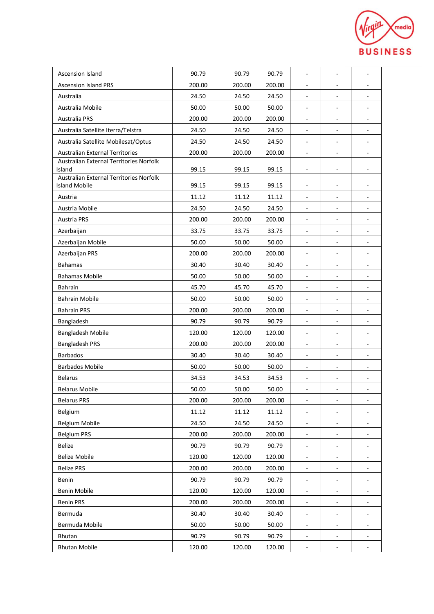

| Ascension Island                                  | 90.79  | 90.79  | 90.79  | $\overline{\phantom{a}}$     | $\overline{\phantom{a}}$     | $\overline{\phantom{a}}$ |
|---------------------------------------------------|--------|--------|--------|------------------------------|------------------------------|--------------------------|
| <b>Ascension Island PRS</b>                       | 200.00 | 200.00 | 200.00 | $\blacksquare$               | $\overline{\phantom{a}}$     | $\overline{\phantom{a}}$ |
| Australia                                         | 24.50  | 24.50  | 24.50  | ÷,                           |                              |                          |
| Australia Mobile                                  | 50.00  | 50.00  | 50.00  | $\overline{\phantom{a}}$     | $\overline{\phantom{a}}$     | $\overline{\phantom{0}}$ |
| <b>Australia PRS</b>                              | 200.00 | 200.00 | 200.00 | $\overline{\phantom{a}}$     | $\blacksquare$               | $\overline{\phantom{a}}$ |
| Australia Satellite Iterra/Telstra                | 24.50  | 24.50  | 24.50  | $\overline{\phantom{a}}$     | $\overline{\phantom{a}}$     | $\overline{\phantom{a}}$ |
| Australia Satellite Mobilesat/Optus               | 24.50  | 24.50  | 24.50  | $\overline{\phantom{a}}$     | $\qquad \qquad \blacksquare$ | $\overline{\phantom{a}}$ |
| <b>Australian External Territories</b>            | 200.00 | 200.00 | 200.00 | $\overline{a}$               | $\qquad \qquad \blacksquare$ |                          |
| Australian External Territories Norfolk           |        |        |        |                              |                              |                          |
| Island<br>Australian External Territories Norfolk | 99.15  | 99.15  | 99.15  | $\overline{\phantom{a}}$     | $\overline{\phantom{a}}$     | $\overline{\phantom{a}}$ |
| <b>Island Mobile</b>                              | 99.15  | 99.15  | 99.15  | $\overline{\phantom{a}}$     | $\overline{\phantom{a}}$     | $\overline{\phantom{a}}$ |
| Austria                                           | 11.12  | 11.12  | 11.12  | $\overline{\phantom{a}}$     | $\overline{a}$               |                          |
| Austria Mobile                                    | 24.50  | 24.50  | 24.50  | $\overline{\phantom{a}}$     | $\overline{\phantom{a}}$     | $\overline{\phantom{a}}$ |
| <b>Austria PRS</b>                                | 200.00 | 200.00 | 200.00 | $\blacksquare$               | $\overline{\phantom{a}}$     | $\overline{\phantom{a}}$ |
| Azerbaijan                                        | 33.75  | 33.75  | 33.75  | $\overline{\phantom{a}}$     | $\overline{\phantom{a}}$     | ۰                        |
| Azerbaijan Mobile                                 | 50.00  | 50.00  | 50.00  | $\overline{\phantom{a}}$     | $\qquad \qquad \blacksquare$ | $\overline{\phantom{a}}$ |
| <b>Azerbaijan PRS</b>                             | 200.00 | 200.00 | 200.00 | $\blacksquare$               | $\overline{\phantom{a}}$     |                          |
| <b>Bahamas</b>                                    | 30.40  | 30.40  | 30.40  | $\overline{\phantom{a}}$     | $\qquad \qquad \blacksquare$ | $\overline{\phantom{a}}$ |
| <b>Bahamas Mobile</b>                             | 50.00  | 50.00  | 50.00  | $\overline{\phantom{a}}$     | $\overline{\phantom{a}}$     |                          |
| Bahrain                                           | 45.70  | 45.70  | 45.70  | $\overline{\phantom{a}}$     | $\overline{\phantom{a}}$     | $\blacksquare$           |
| Bahrain Mobile                                    | 50.00  | 50.00  | 50.00  | $\overline{\phantom{a}}$     | $\overline{\phantom{a}}$     | ٠                        |
| <b>Bahrain PRS</b>                                | 200.00 | 200.00 | 200.00 | $\overline{a}$               | $\overline{\phantom{a}}$     |                          |
| Bangladesh                                        | 90.79  | 90.79  | 90.79  | $\sim$                       | $\overline{\phantom{a}}$     | $\overline{\phantom{a}}$ |
| Bangladesh Mobile                                 | 120.00 | 120.00 | 120.00 | $\overline{\phantom{a}}$     | ۰                            | $\overline{\phantom{a}}$ |
| <b>Bangladesh PRS</b>                             | 200.00 | 200.00 | 200.00 | $\overline{\phantom{a}}$     | $\overline{\phantom{a}}$     | $\overline{\phantom{a}}$ |
| <b>Barbados</b>                                   | 30.40  | 30.40  | 30.40  | $\blacksquare$               | $\overline{\phantom{a}}$     | $\overline{\phantom{a}}$ |
| <b>Barbados Mobile</b>                            | 50.00  | 50.00  | 50.00  | $\overline{\phantom{a}}$     | $\overline{\phantom{a}}$     | ٠                        |
| <b>Belarus</b>                                    | 34.53  | 34.53  | 34.53  | $\overline{\phantom{a}}$     | $\overline{\phantom{a}}$     | ۰                        |
| <b>Belarus Mobile</b>                             | 50.00  | 50.00  | 50.00  | $\blacksquare$               | $\overline{\phantom{a}}$     | $\overline{\phantom{a}}$ |
| <b>Belarus PRS</b>                                | 200.00 | 200.00 | 200.00 | $\qquad \qquad \blacksquare$ | $\overline{\phantom{a}}$     | ۰                        |
| Belgium                                           | 11.12  | 11.12  | 11.12  | $\overline{\phantom{a}}$     | -                            |                          |
| Belgium Mobile                                    | 24.50  | 24.50  | 24.50  | $\blacksquare$               | $\overline{\phantom{a}}$     | $\overline{\phantom{a}}$ |
| <b>Belgium PRS</b>                                | 200.00 | 200.00 | 200.00 | $\overline{\phantom{a}}$     | $\overline{\phantom{a}}$     | ۰                        |
| <b>Belize</b>                                     | 90.79  | 90.79  | 90.79  | $\overline{\phantom{a}}$     |                              |                          |
| <b>Belize Mobile</b>                              | 120.00 | 120.00 | 120.00 | $\overline{\phantom{a}}$     | $\blacksquare$               | $\blacksquare$           |
| <b>Belize PRS</b>                                 | 200.00 | 200.00 | 200.00 | $\overline{\phantom{a}}$     | $\overline{\phantom{a}}$     |                          |
| Benin                                             | 90.79  | 90.79  | 90.79  | $\overline{\phantom{a}}$     | $\overline{\phantom{a}}$     | $\overline{\phantom{a}}$ |
| <b>Benin Mobile</b>                               | 120.00 | 120.00 | 120.00 | $\overline{\phantom{a}}$     | $\overline{\phantom{a}}$     | ۰                        |
| <b>Benin PRS</b>                                  | 200.00 | 200.00 | 200.00 | $\overline{\phantom{a}}$     | $\overline{\phantom{a}}$     | $\overline{\phantom{a}}$ |
| Bermuda                                           | 30.40  | 30.40  | 30.40  | $\overline{\phantom{a}}$     | $\overline{\phantom{a}}$     |                          |
| Bermuda Mobile                                    | 50.00  | 50.00  | 50.00  | $\blacksquare$               | $\overline{\phantom{a}}$     |                          |
| Bhutan                                            | 90.79  | 90.79  | 90.79  | $\overline{\phantom{a}}$     | $\overline{\phantom{a}}$     | -                        |
| <b>Bhutan Mobile</b>                              | 120.00 | 120.00 | 120.00 | $\blacksquare$               | $\overline{\phantom{a}}$     | $\overline{\phantom{a}}$ |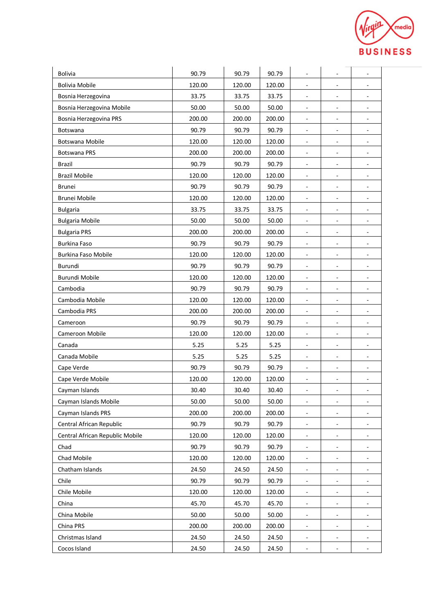

| <b>Bolivia</b>                  | 90.79  | 90.79  | 90.79  | $\overline{\phantom{a}}$     | $\qquad \qquad \blacksquare$ | ٠                        |
|---------------------------------|--------|--------|--------|------------------------------|------------------------------|--------------------------|
| <b>Bolivia Mobile</b>           | 120.00 | 120.00 | 120.00 | $\overline{\phantom{a}}$     | ۳                            | $\overline{\phantom{a}}$ |
| Bosnia Herzegovina              | 33.75  | 33.75  | 33.75  | $\overline{\phantom{a}}$     | ۳                            | ÷,                       |
| Bosnia Herzegovina Mobile       | 50.00  | 50.00  | 50.00  | $\blacksquare$               | $\overline{\phantom{a}}$     | $\overline{\phantom{a}}$ |
| Bosnia Herzegovina PRS          | 200.00 | 200.00 | 200.00 | $\overline{\phantom{a}}$     | -                            |                          |
| Botswana                        | 90.79  | 90.79  | 90.79  | $\overline{\phantom{a}}$     | $\qquad \qquad \blacksquare$ | $\overline{\phantom{a}}$ |
| Botswana Mobile                 | 120.00 | 120.00 | 120.00 | $\overline{\phantom{a}}$     | $\overline{\phantom{a}}$     | $\blacksquare$           |
| <b>Botswana PRS</b>             | 200.00 | 200.00 | 200.00 | $\blacksquare$               | $\qquad \qquad \blacksquare$ | $\overline{\phantom{a}}$ |
| <b>Brazil</b>                   | 90.79  | 90.79  | 90.79  | $\overline{\phantom{a}}$     | ۳                            | $\overline{\phantom{a}}$ |
| <b>Brazil Mobile</b>            | 120.00 | 120.00 | 120.00 | $\bar{a}$                    | L,                           | $\overline{\phantom{a}}$ |
| <b>Brunei</b>                   | 90.79  | 90.79  | 90.79  | $\overline{\phantom{a}}$     | ۰                            | $\overline{\phantom{a}}$ |
| Brunei Mobile                   | 120.00 | 120.00 | 120.00 | $\overline{\phantom{a}}$     | $\qquad \qquad \blacksquare$ | $\overline{\phantom{a}}$ |
| <b>Bulgaria</b>                 | 33.75  | 33.75  | 33.75  | $\overline{\phantom{a}}$     | $\qquad \qquad \blacksquare$ | $\overline{\phantom{a}}$ |
| <b>Bulgaria Mobile</b>          | 50.00  | 50.00  | 50.00  | $\overline{\phantom{a}}$     | $\qquad \qquad \blacksquare$ | $\overline{\phantom{a}}$ |
| <b>Bulgaria PRS</b>             | 200.00 | 200.00 | 200.00 | $\overline{\phantom{a}}$     | ۳                            |                          |
| <b>Burkina Faso</b>             | 90.79  | 90.79  | 90.79  | $\overline{\phantom{a}}$     | ۳                            | $\overline{\phantom{a}}$ |
| Burkina Faso Mobile             | 120.00 | 120.00 | 120.00 | $\overline{\phantom{a}}$     | $\overline{\phantom{0}}$     |                          |
| Burundi                         | 90.79  | 90.79  | 90.79  | $\blacksquare$               | $\blacksquare$               | $\overline{\phantom{a}}$ |
| <b>Burundi Mobile</b>           | 120.00 | 120.00 | 120.00 | $\blacksquare$               | $\qquad \qquad \blacksquare$ | $\blacksquare$           |
| Cambodia                        | 90.79  | 90.79  | 90.79  | $\overline{\phantom{a}}$     | $\qquad \qquad \blacksquare$ | $\overline{\phantom{a}}$ |
| Cambodia Mobile                 | 120.00 | 120.00 | 120.00 | $\overline{\phantom{a}}$     | ÷,                           | $\overline{\phantom{a}}$ |
| Cambodia PRS                    | 200.00 | 200.00 | 200.00 | $\tilde{\phantom{a}}$        | ÷,                           | $\overline{\phantom{a}}$ |
| Cameroon                        | 90.79  | 90.79  | 90.79  | $\overline{\phantom{a}}$     | $\qquad \qquad \blacksquare$ | $\overline{\phantom{0}}$ |
| Cameroon Mobile                 | 120.00 | 120.00 | 120.00 | $\blacksquare$               | $\overline{\phantom{a}}$     | $\overline{\phantom{a}}$ |
| Canada                          | 5.25   | 5.25   | 5.25   | $\overline{\phantom{a}}$     | $\qquad \qquad \blacksquare$ | ٠                        |
| Canada Mobile                   | 5.25   | 5.25   | 5.25   | $\overline{\phantom{a}}$     | $\overline{\phantom{0}}$     | $\overline{\phantom{a}}$ |
| Cape Verde                      | 90.79  | 90.79  | 90.79  | $\overline{\phantom{a}}$     | ۳                            | $\overline{a}$           |
| Cape Verde Mobile               | 120.00 | 120.00 | 120.00 | $\qquad \qquad \blacksquare$ | -                            | ۰                        |
| Cayman Islands                  | 30.40  | 30.40  | 30.40  | $\blacksquare$               |                              | $\overline{\phantom{a}}$ |
| Cayman Islands Mobile           | 50.00  | 50.00  | 50.00  | $\blacksquare$               | $\frac{1}{2}$                | $\overline{\phantom{a}}$ |
| Cayman Islands PRS              | 200.00 | 200.00 | 200.00 | $\overline{\phantom{a}}$     | $\qquad \qquad \blacksquare$ |                          |
| Central African Republic        | 90.79  | 90.79  | 90.79  | $\overline{\phantom{a}}$     | -                            |                          |
| Central African Republic Mobile | 120.00 | 120.00 | 120.00 | $\blacksquare$               | $\qquad \qquad \blacksquare$ | $\overline{\phantom{0}}$ |
| Chad                            | 90.79  | 90.79  | 90.79  |                              |                              |                          |
| Chad Mobile                     | 120.00 | 120.00 | 120.00 | $\blacksquare$               | $\qquad \qquad \blacksquare$ | ۰                        |
| Chatham Islands                 | 24.50  | 24.50  | 24.50  | $\overline{\phantom{a}}$     | $\overline{\phantom{0}}$     |                          |
| Chile                           | 90.79  | 90.79  | 90.79  | $\overline{\phantom{a}}$     | $\overline{\phantom{0}}$     | $\overline{\phantom{a}}$ |
| Chile Mobile                    | 120.00 | 120.00 | 120.00 | $\overline{\phantom{a}}$     | -                            |                          |
| China                           | 45.70  | 45.70  | 45.70  | $\overline{\phantom{a}}$     | $\blacksquare$               |                          |
| China Mobile                    | 50.00  | 50.00  | 50.00  | $\blacksquare$               | -                            | -                        |
| China PRS                       | 200.00 | 200.00 | 200.00 | $\blacksquare$               | ۰                            |                          |
| Christmas Island                | 24.50  | 24.50  | 24.50  | $\overline{\phantom{a}}$     | $\overline{\phantom{a}}$     | $\overline{\phantom{a}}$ |
| Cocos Island                    | 24.50  | 24.50  | 24.50  | $\overline{\phantom{a}}$     |                              |                          |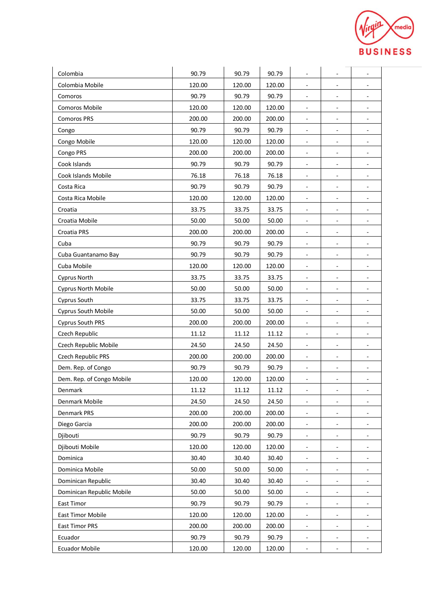

| Colombia                  | 90.79  | 90.79  | 90.79  | $\overline{\phantom{a}}$     | $\qquad \qquad \blacksquare$ | ٠                        |
|---------------------------|--------|--------|--------|------------------------------|------------------------------|--------------------------|
| Colombia Mobile           | 120.00 | 120.00 | 120.00 | $\overline{\phantom{a}}$     | ۳                            | $\overline{\phantom{a}}$ |
| Comoros                   | 90.79  | 90.79  | 90.79  | $\overline{\phantom{a}}$     | ۳                            | $\overline{\phantom{a}}$ |
| <b>Comoros Mobile</b>     | 120.00 | 120.00 | 120.00 | $\blacksquare$               | $\overline{\phantom{a}}$     | $\overline{\phantom{a}}$ |
| <b>Comoros PRS</b>        | 200.00 | 200.00 | 200.00 | $\overline{\phantom{a}}$     |                              |                          |
| Congo                     | 90.79  | 90.79  | 90.79  | $\overline{\phantom{a}}$     | $\qquad \qquad \blacksquare$ | $\overline{\phantom{a}}$ |
| Congo Mobile              | 120.00 | 120.00 | 120.00 | $\overline{\phantom{a}}$     | $\overline{\phantom{a}}$     | $\blacksquare$           |
| Congo PRS                 | 200.00 | 200.00 | 200.00 | $\blacksquare$               | $\qquad \qquad \blacksquare$ | $\overline{\phantom{a}}$ |
| Cook Islands              | 90.79  | 90.79  | 90.79  | $\overline{\phantom{a}}$     | ۳                            | $\overline{\phantom{a}}$ |
| Cook Islands Mobile       | 76.18  | 76.18  | 76.18  | $\overline{\phantom{a}}$     | L,                           | $\overline{\phantom{a}}$ |
| Costa Rica                | 90.79  | 90.79  | 90.79  | $\overline{\phantom{a}}$     | ۰                            | $\overline{\phantom{a}}$ |
| Costa Rica Mobile         | 120.00 | 120.00 | 120.00 | $\overline{\phantom{a}}$     | $\qquad \qquad \blacksquare$ | $\overline{\phantom{a}}$ |
| Croatia                   | 33.75  | 33.75  | 33.75  | $\overline{\phantom{a}}$     | $\qquad \qquad \blacksquare$ | $\overline{\phantom{a}}$ |
| Croatia Mobile            | 50.00  | 50.00  | 50.00  | $\overline{\phantom{a}}$     | $\qquad \qquad \blacksquare$ | $\overline{\phantom{a}}$ |
| Croatia PRS               | 200.00 | 200.00 | 200.00 |                              | ۳                            |                          |
| Cuba                      | 90.79  | 90.79  | 90.79  | $\overline{\phantom{a}}$     | ۳                            | $\overline{\phantom{a}}$ |
| Cuba Guantanamo Bay       | 90.79  | 90.79  | 90.79  | $\overline{\phantom{a}}$     | $\overline{\phantom{0}}$     |                          |
| Cuba Mobile               | 120.00 | 120.00 | 120.00 | $\blacksquare$               | $\blacksquare$               | $\overline{\phantom{a}}$ |
| <b>Cyprus North</b>       | 33.75  | 33.75  | 33.75  | $\blacksquare$               | $\qquad \qquad \blacksquare$ | $\blacksquare$           |
| Cyprus North Mobile       | 50.00  | 50.00  | 50.00  | $\overline{\phantom{a}}$     | $\qquad \qquad \blacksquare$ | $\overline{\phantom{a}}$ |
| Cyprus South              | 33.75  | 33.75  | 33.75  | $\overline{\phantom{a}}$     | ÷,                           | $\overline{\phantom{a}}$ |
| Cyprus South Mobile       | 50.00  | 50.00  | 50.00  | $\overline{\phantom{a}}$     | $\overline{\phantom{a}}$     |                          |
| <b>Cyprus South PRS</b>   | 200.00 | 200.00 | 200.00 | $\overline{\phantom{a}}$     | $\qquad \qquad \blacksquare$ | $\overline{\phantom{0}}$ |
| Czech Republic            | 11.12  | 11.12  | 11.12  | $\blacksquare$               | $\overline{\phantom{a}}$     | $\overline{\phantom{a}}$ |
| Czech Republic Mobile     | 24.50  | 24.50  | 24.50  | $\overline{\phantom{a}}$     | $\overline{\phantom{a}}$     | $\blacksquare$           |
| Czech Republic PRS        | 200.00 | 200.00 | 200.00 | $\overline{\phantom{a}}$     | $\overline{\phantom{0}}$     | $\overline{\phantom{a}}$ |
| Dem. Rep. of Congo        | 90.79  | 90.79  | 90.79  | $\overline{\phantom{a}}$     | ۳                            | $\overline{a}$           |
| Dem. Rep. of Congo Mobile | 120.00 | 120.00 | 120.00 | $\qquad \qquad \blacksquare$ | -                            | ۰                        |
| Denmark                   | 11.12  | 11.12  | 11.12  | $\overline{\phantom{a}}$     |                              | $\overline{\phantom{0}}$ |
| Denmark Mobile            | 24.50  | 24.50  | 24.50  | $\blacksquare$               | $\qquad \qquad \blacksquare$ | $\overline{\phantom{a}}$ |
| Denmark PRS               | 200.00 | 200.00 | 200.00 | $\overline{\phantom{a}}$     | $\overline{\phantom{0}}$     |                          |
| Diego Garcia              | 200.00 | 200.00 | 200.00 | $\overline{\phantom{a}}$     | -                            |                          |
| Djibouti                  | 90.79  | 90.79  | 90.79  | $\blacksquare$               | -                            | $\overline{\phantom{a}}$ |
| Djibouti Mobile           | 120.00 | 120.00 | 120.00 |                              |                              |                          |
| Dominica                  | 30.40  | 30.40  | 30.40  | $\overline{\phantom{a}}$     | $\qquad \qquad \blacksquare$ | $\overline{\phantom{a}}$ |
| Dominica Mobile           | 50.00  | 50.00  | 50.00  | $\overline{\phantom{a}}$     | $\qquad \qquad \blacksquare$ |                          |
| Dominican Republic        | 30.40  | 30.40  | 30.40  | $\overline{\phantom{a}}$     | $\overline{\phantom{0}}$     | $\overline{\phantom{a}}$ |
| Dominican Republic Mobile | 50.00  | 50.00  | 50.00  |                              | -                            |                          |
| East Timor                | 90.79  | 90.79  | 90.79  | $\blacksquare$               | $\blacksquare$               |                          |
| East Timor Mobile         | 120.00 | 120.00 | 120.00 | $\blacksquare$               | -                            | -                        |
| East Timor PRS            | 200.00 | 200.00 | 200.00 | $\blacksquare$               | ۰                            |                          |
| Ecuador                   | 90.79  | 90.79  | 90.79  | $\overline{\phantom{a}}$     | $\overline{\phantom{a}}$     | $\overline{\phantom{a}}$ |
| <b>Ecuador Mobile</b>     | 120.00 | 120.00 | 120.00 | $\blacksquare$               |                              |                          |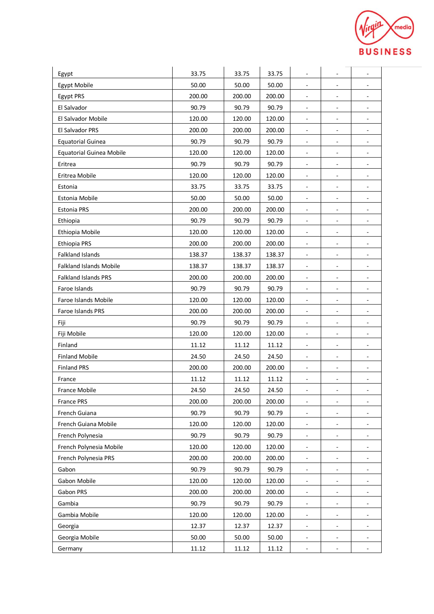

| Egypt                           | 33.75  | 33.75  | 33.75  | $\overline{\phantom{a}}$     | $\qquad \qquad \blacksquare$ | $\blacksquare$           |
|---------------------------------|--------|--------|--------|------------------------------|------------------------------|--------------------------|
| Egypt Mobile                    | 50.00  | 50.00  | 50.00  | $\overline{\phantom{a}}$     | ۳                            | $\overline{\phantom{a}}$ |
| Egypt PRS                       | 200.00 | 200.00 | 200.00 | $\overline{\phantom{a}}$     | ۳                            | $\blacksquare$           |
| El Salvador                     | 90.79  | 90.79  | 90.79  | $\blacksquare$               | $\overline{\phantom{a}}$     | $\overline{\phantom{a}}$ |
| El Salvador Mobile              | 120.00 | 120.00 | 120.00 | $\overline{\phantom{a}}$     | -                            |                          |
| El Salvador PRS                 | 200.00 | 200.00 | 200.00 | $\overline{\phantom{a}}$     | $\qquad \qquad \blacksquare$ | $\overline{\phantom{a}}$ |
| <b>Equatorial Guinea</b>        | 90.79  | 90.79  | 90.79  | $\overline{\phantom{a}}$     | $\overline{\phantom{a}}$     | $\blacksquare$           |
| <b>Equatorial Guinea Mobile</b> | 120.00 | 120.00 | 120.00 | $\overline{\phantom{a}}$     | $\qquad \qquad \blacksquare$ | $\overline{\phantom{a}}$ |
| Eritrea                         | 90.79  | 90.79  | 90.79  | $\blacksquare$               | ۳                            | $\overline{\phantom{a}}$ |
| Eritrea Mobile                  | 120.00 | 120.00 | 120.00 | $\blacksquare$               | L,                           | $\overline{\phantom{a}}$ |
| Estonia                         | 33.75  | 33.75  | 33.75  | $\overline{\phantom{a}}$     | ۰                            | $\overline{\phantom{a}}$ |
| Estonia Mobile                  | 50.00  | 50.00  | 50.00  | $\overline{\phantom{a}}$     | $\qquad \qquad \blacksquare$ | $\overline{\phantom{a}}$ |
| <b>Estonia PRS</b>              | 200.00 | 200.00 | 200.00 | $\overline{\phantom{a}}$     | $\qquad \qquad \blacksquare$ | $\overline{\phantom{a}}$ |
| Ethiopia                        | 90.79  | 90.79  | 90.79  | $\overline{\phantom{a}}$     | $\qquad \qquad \blacksquare$ | $\overline{\phantom{a}}$ |
| Ethiopia Mobile                 | 120.00 | 120.00 | 120.00 | $\overline{\phantom{a}}$     | ۳                            |                          |
| Ethiopia PRS                    | 200.00 | 200.00 | 200.00 | $\overline{\phantom{a}}$     | ۳                            | $\overline{\phantom{a}}$ |
| <b>Falkland Islands</b>         | 138.37 | 138.37 | 138.37 | $\overline{\phantom{a}}$     | ۰                            |                          |
| <b>Falkland Islands Mobile</b>  | 138.37 | 138.37 | 138.37 | $\overline{\phantom{a}}$     | $\blacksquare$               | $\overline{\phantom{a}}$ |
| <b>Falkland Islands PRS</b>     | 200.00 | 200.00 | 200.00 | $\blacksquare$               | $\qquad \qquad \blacksquare$ | $\blacksquare$           |
| Faroe Islands                   | 90.79  | 90.79  | 90.79  | $\overline{\phantom{a}}$     | $\qquad \qquad \blacksquare$ | $\overline{\phantom{a}}$ |
| Faroe Islands Mobile            | 120.00 | 120.00 | 120.00 | $\overline{\phantom{a}}$     | ÷,                           | $\overline{\phantom{a}}$ |
| Faroe Islands PRS               | 200.00 | 200.00 | 200.00 | $\blacksquare$               | ÷,                           | $\overline{\phantom{a}}$ |
| Fiji                            | 90.79  | 90.79  | 90.79  | $\overline{\phantom{a}}$     | $\qquad \qquad \blacksquare$ | $\overline{\phantom{a}}$ |
| Fiji Mobile                     | 120.00 | 120.00 | 120.00 | $\blacksquare$               | $\overline{\phantom{a}}$     | $\overline{\phantom{a}}$ |
| Finland                         | 11.12  | 11.12  | 11.12  | $\overline{\phantom{a}}$     | $\overline{\phantom{a}}$     | $\blacksquare$           |
| <b>Finland Mobile</b>           | 24.50  | 24.50  | 24.50  | $\overline{\phantom{a}}$     | $\overline{\phantom{0}}$     | $\overline{\phantom{a}}$ |
| <b>Finland PRS</b>              | 200.00 | 200.00 | 200.00 | $\overline{\phantom{a}}$     | ÷,                           | $\overline{\phantom{a}}$ |
| France                          | 11.12  | 11.12  | 11.12  | $\qquad \qquad \blacksquare$ | -                            | ۰                        |
| <b>France Mobile</b>            | 24.50  | 24.50  | 24.50  | $\overline{\phantom{a}}$     | -                            | $\overline{\phantom{a}}$ |
| France PRS                      | 200.00 | 200.00 | 200.00 | $\blacksquare$               | $\qquad \qquad \blacksquare$ | $\overline{\phantom{a}}$ |
| French Guiana                   | 90.79  | 90.79  | 90.79  | $\overline{\phantom{a}}$     | $\overline{\phantom{0}}$     |                          |
| French Guiana Mobile            | 120.00 | 120.00 | 120.00 | $\overline{\phantom{a}}$     | -                            |                          |
| French Polynesia                | 90.79  | 90.79  | 90.79  | $\blacksquare$               | -                            | $\overline{\phantom{a}}$ |
| French Polynesia Mobile         | 120.00 | 120.00 | 120.00 |                              |                              |                          |
| French Polynesia PRS            | 200.00 | 200.00 | 200.00 | $\overline{\phantom{a}}$     | $\qquad \qquad \blacksquare$ | $\overline{\phantom{a}}$ |
| Gabon                           | 90.79  | 90.79  | 90.79  | $\overline{\phantom{a}}$     | $\qquad \qquad \blacksquare$ |                          |
| Gabon Mobile                    | 120.00 | 120.00 | 120.00 | $\overline{\phantom{a}}$     | $\overline{\phantom{0}}$     | $\overline{\phantom{a}}$ |
| Gabon PRS                       | 200.00 | 200.00 | 200.00 | $\overline{\phantom{a}}$     | -                            |                          |
| Gambia                          | 90.79  | 90.79  | 90.79  | $\blacksquare$               | $\blacksquare$               |                          |
| Gambia Mobile                   | 120.00 | 120.00 | 120.00 | $\blacksquare$               | -                            | -                        |
| Georgia                         | 12.37  | 12.37  | 12.37  | $\blacksquare$               | ۰                            |                          |
| Georgia Mobile                  | 50.00  | 50.00  | 50.00  | $\overline{\phantom{a}}$     | $\overline{\phantom{a}}$     | $\overline{\phantom{a}}$ |
| Germany                         | 11.12  | 11.12  | 11.12  | $\overline{\phantom{a}}$     | -                            | ٠                        |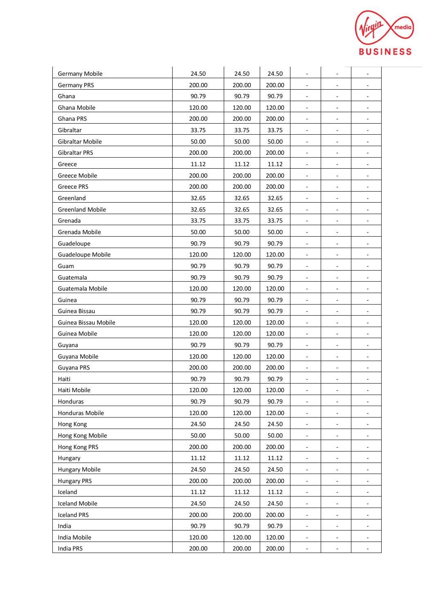

| <b>Germany Mobile</b>   | 24.50  | 24.50  | 24.50  | $\overline{\phantom{a}}$ | $\overline{\phantom{0}}$     | $\overline{\phantom{a}}$     |
|-------------------------|--------|--------|--------|--------------------------|------------------------------|------------------------------|
| <b>Germany PRS</b>      | 200.00 | 200.00 | 200.00 | $\sim$                   | ÷,                           | $\overline{\phantom{a}}$     |
| Ghana                   | 90.79  | 90.79  | 90.79  | $\overline{\phantom{a}}$ | $\qquad \qquad \blacksquare$ | $\blacksquare$               |
| Ghana Mobile            | 120.00 | 120.00 | 120.00 | ٠                        | ÷,                           | ÷,                           |
| Ghana PRS               | 200.00 | 200.00 | 200.00 | $\overline{\phantom{a}}$ | $\overline{a}$               |                              |
| Gibraltar               | 33.75  | 33.75  | 33.75  | $\overline{\phantom{a}}$ | $\overline{\phantom{0}}$     | $\overline{\phantom{0}}$     |
| Gibraltar Mobile        | 50.00  | 50.00  | 50.00  | $\overline{\phantom{a}}$ | ۰                            | ٠                            |
| <b>Gibraltar PRS</b>    | 200.00 | 200.00 | 200.00 | $\overline{\phantom{a}}$ | $\blacksquare$               | $\overline{\phantom{a}}$     |
| Greece                  | 11.12  | 11.12  | 11.12  | $\overline{\phantom{a}}$ | ÷,                           | $\overline{\phantom{a}}$     |
| <b>Greece Mobile</b>    | 200.00 | 200.00 | 200.00 | $\overline{\phantom{a}}$ | ÷,                           | $\overline{\phantom{a}}$     |
| <b>Greece PRS</b>       | 200.00 | 200.00 | 200.00 | $\overline{\phantom{a}}$ | ÷,                           | $\blacksquare$               |
| Greenland               | 32.65  | 32.65  | 32.65  | $\overline{\phantom{a}}$ | $\overline{\phantom{0}}$     | ۰                            |
| <b>Greenland Mobile</b> | 32.65  | 32.65  | 32.65  | $\blacksquare$           | $\blacksquare$               | $\overline{\phantom{a}}$     |
| Grenada                 | 33.75  | 33.75  | 33.75  | $\overline{\phantom{a}}$ | $\qquad \qquad \blacksquare$ | ۰                            |
| Grenada Mobile          | 50.00  | 50.00  | 50.00  | $\overline{\phantom{a}}$ | ÷,                           | $\overline{\phantom{a}}$     |
| Guadeloupe              | 90.79  | 90.79  | 90.79  | ٠                        | ÷,                           | $\overline{\phantom{a}}$     |
| Guadeloupe Mobile       | 120.00 | 120.00 | 120.00 | ٠                        | ÷,                           | ٠                            |
| Guam                    | 90.79  | 90.79  | 90.79  | ٠                        | $\qquad \qquad \blacksquare$ | ۰                            |
| Guatemala               | 90.79  | 90.79  | 90.79  | $\blacksquare$           | $\qquad \qquad \blacksquare$ | $\overline{\phantom{a}}$     |
| Guatemala Mobile        | 120.00 | 120.00 | 120.00 | $\blacksquare$           | $\qquad \qquad \blacksquare$ | ٠                            |
| Guinea                  | 90.79  | 90.79  | 90.79  | $\overline{\phantom{a}}$ | $\qquad \qquad \blacksquare$ | $\blacksquare$               |
| Guinea Bissau           | 90.79  | 90.79  | 90.79  | $\overline{\phantom{a}}$ | ÷,                           | ÷,                           |
| Guinea Bissau Mobile    | 120.00 | 120.00 | 120.00 | $\blacksquare$           | ۰                            | -                            |
| Guinea Mobile           | 120.00 | 120.00 | 120.00 | $\overline{\phantom{a}}$ | $\qquad \qquad \blacksquare$ | -                            |
| Guyana                  | 90.79  | 90.79  | 90.79  | $\blacksquare$           | $\overline{\phantom{a}}$     | $\overline{\phantom{a}}$     |
| Guyana Mobile           | 120.00 | 120.00 | 120.00 | $\overline{\phantom{a}}$ | $\overline{\phantom{a}}$     | $\overline{\phantom{a}}$     |
| Guyana PRS              | 200.00 | 200.00 | 200.00 | $\overline{\phantom{a}}$ | $\qquad \qquad \blacksquare$ | $\overline{\phantom{a}}$     |
| Haiti                   | 90.79  | 90.79  | 90.79  | $\overline{\phantom{a}}$ | $\qquad \qquad \blacksquare$ | $\overline{\phantom{0}}$     |
| Haiti Mobile            | 120.00 | 120.00 | 120.00 | $\blacksquare$           | ÷,                           | $\overline{\phantom{a}}$     |
| Honduras                | 90.79  | 90.79  | 90.79  | ٠                        | ۰                            | ۰                            |
| Honduras Mobile         | 120.00 | 120.00 | 120.00 | $\blacksquare$           | $\blacksquare$               |                              |
| Hong Kong               | 24.50  | 24.50  | 24.50  | $\overline{\phantom{a}}$ | $\overline{\phantom{0}}$     | $\overline{\phantom{a}}$     |
| Hong Kong Mobile        | 50.00  | 50.00  | 50.00  | $\overline{\phantom{a}}$ | $\qquad \qquad \blacksquare$ | $\overline{\phantom{0}}$     |
| Hong Kong PRS           | 200.00 | 200.00 | 200.00 | $\overline{\phantom{a}}$ |                              |                              |
| Hungary                 | 11.12  | 11.12  | 11.12  | $\blacksquare$           | $\overline{\phantom{0}}$     | $\qquad \qquad \blacksquare$ |
| <b>Hungary Mobile</b>   | 24.50  | 24.50  | 24.50  | ۰.                       | ۰                            | ۰                            |
| <b>Hungary PRS</b>      | 200.00 | 200.00 | 200.00 | $\blacksquare$           | $\frac{1}{2}$                | $\overline{\phantom{0}}$     |
| Iceland                 | 11.12  | 11.12  | 11.12  | $\overline{\phantom{a}}$ | $\qquad \qquad \blacksquare$ | $\qquad \qquad \blacksquare$ |
| <b>Iceland Mobile</b>   | 24.50  | 24.50  | 24.50  | $\overline{\phantom{a}}$ | $\overline{\phantom{m}}$     |                              |
| <b>Iceland PRS</b>      | 200.00 | 200.00 | 200.00 | $\blacksquare$           | $\blacksquare$               | $\qquad \qquad \blacksquare$ |
| India                   | 90.79  | 90.79  | 90.79  | $\blacksquare$           | -                            |                              |
| India Mobile            | 120.00 | 120.00 | 120.00 | $\blacksquare$           | $\overline{\phantom{a}}$     | $\overline{\phantom{a}}$     |
| India PRS               | 200.00 | 200.00 | 200.00 | $\blacksquare$           | ۰                            | ۰                            |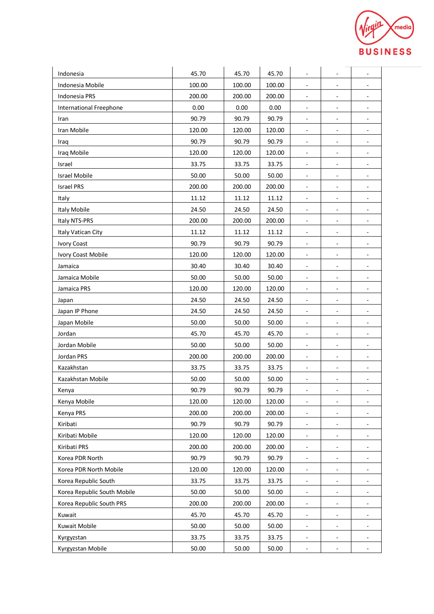

| Indonesia                      | 45.70  | 45.70  | 45.70  | $\overline{\phantom{a}}$ | $\qquad \qquad \blacksquare$ | ٠                            |
|--------------------------------|--------|--------|--------|--------------------------|------------------------------|------------------------------|
| Indonesia Mobile               | 100.00 | 100.00 | 100.00 | $\overline{\phantom{a}}$ | ۳                            | $\overline{\phantom{a}}$     |
| Indonesia PRS                  | 200.00 | 200.00 | 200.00 | $\overline{\phantom{a}}$ | ÷,                           | $\overline{a}$               |
| <b>International Freephone</b> | 0.00   | 0.00   | 0.00   | $\blacksquare$           | $\overline{\phantom{a}}$     | $\overline{\phantom{a}}$     |
| Iran                           | 90.79  | 90.79  | 90.79  | $\overline{\phantom{a}}$ | -                            |                              |
| Iran Mobile                    | 120.00 | 120.00 | 120.00 | $\overline{\phantom{a}}$ | $\overline{\phantom{0}}$     | $\overline{\phantom{a}}$     |
| Iraq                           | 90.79  | 90.79  | 90.79  | $\overline{\phantom{a}}$ | $\qquad \qquad \blacksquare$ | $\blacksquare$               |
| Iraq Mobile                    | 120.00 | 120.00 | 120.00 | $\overline{\phantom{a}}$ | $\qquad \qquad \blacksquare$ | $\overline{\phantom{a}}$     |
| Israel                         | 33.75  | 33.75  | 33.75  | $\overline{\phantom{a}}$ | -                            | $\overline{\phantom{a}}$     |
| <b>Israel Mobile</b>           | 50.00  | 50.00  | 50.00  | $\blacksquare$           | ÷,                           | $\overline{\phantom{a}}$     |
| <b>Israel PRS</b>              | 200.00 | 200.00 | 200.00 | $\overline{\phantom{a}}$ | $\qquad \qquad \blacksquare$ | ۰                            |
| Italy                          | 11.12  | 11.12  | 11.12  | $\overline{\phantom{a}}$ | $\qquad \qquad \blacksquare$ | $\overline{\phantom{a}}$     |
| Italy Mobile                   | 24.50  | 24.50  | 24.50  | $\overline{\phantom{a}}$ | $\overline{\phantom{0}}$     | $\overline{\phantom{a}}$     |
| Italy NTS-PRS                  | 200.00 | 200.00 | 200.00 | $\overline{\phantom{a}}$ | $\qquad \qquad \blacksquare$ | $\overline{\phantom{a}}$     |
| Italy Vatican City             | 11.12  | 11.12  | 11.12  | $\overline{\phantom{a}}$ | ۳                            |                              |
| <b>Ivory Coast</b>             | 90.79  | 90.79  | 90.79  | $\overline{\phantom{a}}$ | $\qquad \qquad \blacksquare$ | $\overline{\phantom{a}}$     |
| Ivory Coast Mobile             | 120.00 | 120.00 | 120.00 | ۰                        | ۰                            |                              |
| Jamaica                        | 30.40  | 30.40  | 30.40  | $\overline{\phantom{a}}$ | $\blacksquare$               | $\overline{\phantom{a}}$     |
| Jamaica Mobile                 | 50.00  | 50.00  | 50.00  | $\blacksquare$           | $\qquad \qquad \blacksquare$ | $\overline{\phantom{a}}$     |
| Jamaica PRS                    | 120.00 | 120.00 | 120.00 | $\overline{\phantom{a}}$ | $\qquad \qquad \blacksquare$ | $\overline{\phantom{a}}$     |
| Japan                          | 24.50  | 24.50  | 24.50  | $\overline{\phantom{a}}$ | $\qquad \qquad \blacksquare$ | $\overline{\phantom{a}}$     |
| Japan IP Phone                 | 24.50  | 24.50  | 24.50  | $\overline{a}$           | $\overline{\phantom{a}}$     | $\overline{\phantom{a}}$     |
| Japan Mobile                   | 50.00  | 50.00  | 50.00  | $\overline{\phantom{a}}$ | $\qquad \qquad \blacksquare$ | $\qquad \qquad \blacksquare$ |
| Jordan                         | 45.70  | 45.70  | 45.70  | $\blacksquare$           | $\qquad \qquad \blacksquare$ | $\overline{\phantom{a}}$     |
| Jordan Mobile                  | 50.00  | 50.00  | 50.00  | $\overline{\phantom{a}}$ | $\overline{\phantom{a}}$     | $\blacksquare$               |
| Jordan PRS                     | 200.00 | 200.00 | 200.00 | $\overline{\phantom{a}}$ | $\overline{\phantom{0}}$     | $\overline{\phantom{a}}$     |
| Kazakhstan                     | 33.75  | 33.75  | 33.75  | $\overline{\phantom{a}}$ | ÷,                           | $\overline{a}$               |
| Kazakhstan Mobile              | 50.00  | 50.00  | 50.00  | $\overline{\phantom{a}}$ | -                            | ۰                            |
| Kenya                          | 90.79  | 90.79  | 90.79  | $\overline{\phantom{a}}$ | -                            | $\overline{\phantom{0}}$     |
| Kenya Mobile                   | 120.00 | 120.00 | 120.00 | $\blacksquare$           | $\qquad \qquad \blacksquare$ | $\overline{\phantom{a}}$     |
| Kenya PRS                      | 200.00 | 200.00 | 200.00 | $\overline{\phantom{a}}$ | $\overline{\phantom{a}}$     |                              |
| Kiribati                       | 90.79  | 90.79  | 90.79  | $\overline{\phantom{a}}$ | -                            |                              |
| Kiribati Mobile                | 120.00 | 120.00 | 120.00 | $\blacksquare$           | $\qquad \qquad \blacksquare$ | $\overline{\phantom{0}}$     |
| Kiribati PRS                   | 200.00 | 200.00 | 200.00 |                          |                              |                              |
| Korea PDR North                | 90.79  | 90.79  | 90.79  | $\overline{\phantom{a}}$ | $\qquad \qquad \blacksquare$ | $\overline{\phantom{a}}$     |
| Korea PDR North Mobile         | 120.00 | 120.00 | 120.00 | $\overline{\phantom{a}}$ | $\overline{\phantom{0}}$     |                              |
| Korea Republic South           | 33.75  | 33.75  | 33.75  | $\overline{\phantom{a}}$ | $\overline{\phantom{0}}$     | $\overline{\phantom{a}}$     |
| Korea Republic South Mobile    | 50.00  | 50.00  | 50.00  | $\overline{\phantom{a}}$ | -                            |                              |
| Korea Republic South PRS       | 200.00 | 200.00 | 200.00 | $\overline{\phantom{a}}$ | $\blacksquare$               |                              |
| Kuwait                         | 45.70  | 45.70  | 45.70  | $\blacksquare$           | -                            | -                            |
| Kuwait Mobile                  | 50.00  | 50.00  | 50.00  | $\blacksquare$           | ۰                            |                              |
| Kyrgyzstan                     | 33.75  | 33.75  | 33.75  | $\overline{\phantom{a}}$ | $\overline{\phantom{a}}$     | $\overline{\phantom{a}}$     |
| Kyrgyzstan Mobile              | 50.00  | 50.00  | 50.00  | $\blacksquare$           |                              |                              |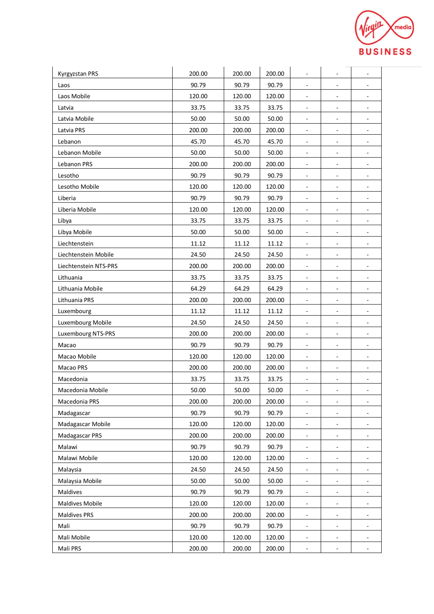

| Kyrgyzstan PRS         | 200.00 | 200.00 | 200.00 | $\overline{\phantom{a}}$ | $\overline{\phantom{a}}$ | ٠                            |
|------------------------|--------|--------|--------|--------------------------|--------------------------|------------------------------|
| Laos                   | 90.79  | 90.79  | 90.79  |                          |                          |                              |
| Laos Mobile            | 120.00 | 120.00 | 120.00 | $\overline{\phantom{a}}$ |                          |                              |
| Latvia                 | 33.75  | 33.75  | 33.75  | $\overline{\phantom{a}}$ | $\overline{\phantom{a}}$ | ۰                            |
| Latvia Mobile          | 50.00  | 50.00  | 50.00  |                          | $\overline{\phantom{a}}$ |                              |
| Latvia PRS             | 200.00 | 200.00 | 200.00 | $\blacksquare$           | $\overline{\phantom{a}}$ | $\overline{\phantom{a}}$     |
| Lebanon                | 45.70  | 45.70  | 45.70  | $\blacksquare$           | $\overline{\phantom{a}}$ | $\blacksquare$               |
| Lebanon Mobile         | 50.00  | 50.00  | 50.00  | $\overline{\phantom{a}}$ | $\overline{\phantom{a}}$ | $\overline{\phantom{a}}$     |
| Lebanon PRS            | 200.00 | 200.00 | 200.00 | $\sim$                   | $\sim$                   | $\overline{\phantom{a}}$     |
| Lesotho                | 90.79  | 90.79  | 90.79  |                          |                          |                              |
| Lesotho Mobile         | 120.00 | 120.00 | 120.00 | $\overline{\phantom{a}}$ | $\overline{\phantom{a}}$ | $\overline{\phantom{a}}$     |
| Liberia                | 90.79  | 90.79  | 90.79  | $\blacksquare$           | $\blacksquare$           | ÷.                           |
| Liberia Mobile         | 120.00 | 120.00 | 120.00 | $\overline{\phantom{a}}$ | $\overline{\phantom{a}}$ | $\blacksquare$               |
| Libya                  | 33.75  | 33.75  | 33.75  |                          | $\overline{a}$           |                              |
| Libya Mobile           | 50.00  | 50.00  | 50.00  | $\sim$                   | $\frac{1}{2}$            |                              |
| Liechtenstein          | 11.12  | 11.12  | 11.12  | $\overline{\phantom{a}}$ | $\overline{\phantom{a}}$ | $\overline{\phantom{a}}$     |
| Liechtenstein Mobile   | 24.50  | 24.50  | 24.50  | $\overline{\phantom{a}}$ | $\overline{\phantom{a}}$ | $\overline{\phantom{a}}$     |
| Liechtenstein NTS-PRS  | 200.00 | 200.00 | 200.00 | $\blacksquare$           | $\overline{\phantom{a}}$ | $\overline{\phantom{a}}$     |
| Lithuania              | 33.75  | 33.75  | 33.75  | $\overline{\phantom{a}}$ | $\overline{\phantom{a}}$ | $\overline{\phantom{a}}$     |
| Lithuania Mobile       | 64.29  | 64.29  | 64.29  | $\overline{\phantom{a}}$ |                          |                              |
| Lithuania PRS          | 200.00 | 200.00 | 200.00 | $\overline{\phantom{a}}$ | $\blacksquare$           | ÷.                           |
| Luxembourg             | 11.12  | 11.12  | 11.12  | ٠                        | $\overline{\phantom{a}}$ |                              |
| Luxembourg Mobile      | 24.50  | 24.50  | 24.50  | $\overline{\phantom{a}}$ | $\overline{\phantom{a}}$ | $\overline{\phantom{a}}$     |
| Luxembourg NTS-PRS     | 200.00 | 200.00 | 200.00 | $\blacksquare$           | $\overline{\phantom{a}}$ | $\overline{\phantom{a}}$     |
| Macao                  | 90.79  | 90.79  | 90.79  | $\overline{\phantom{a}}$ | $\overline{\phantom{a}}$ | $\overline{\phantom{a}}$     |
| Macao Mobile           | 120.00 | 120.00 | 120.00 | $\overline{\phantom{a}}$ | $\overline{\phantom{a}}$ | $\overline{\phantom{a}}$     |
| Macao PRS              | 200.00 | 200.00 | 200.00 | $\overline{\phantom{a}}$ | $\overline{\phantom{a}}$ |                              |
| Macedonia              | 33.75  | 33.75  | 33.75  | $\overline{\phantom{a}}$ | $\overline{\phantom{a}}$ | $\qquad \qquad \blacksquare$ |
| Macedonia Mobile       | 50.00  | 50.00  | 50.00  |                          |                          |                              |
| Macedonia PRS          | 200.00 | 200.00 | 200.00 | $\overline{\phantom{a}}$ | $\overline{\phantom{a}}$ | $\overline{\phantom{a}}$     |
| Madagascar             | 90.79  | 90.79  | 90.79  | $\overline{\phantom{a}}$ | $\overline{\phantom{a}}$ |                              |
| Madagascar Mobile      | 120.00 | 120.00 | 120.00 |                          |                          |                              |
| Madagascar PRS         | 200.00 | 200.00 | 200.00 | $\blacksquare$           | $\overline{\phantom{a}}$ | $\overline{\phantom{a}}$     |
| Malawi                 | 90.79  | 90.79  | 90.79  |                          | $\overline{\phantom{a}}$ |                              |
| Malawi Mobile          | 120.00 | 120.00 | 120.00 | $\overline{\phantom{a}}$ | $\overline{\phantom{a}}$ | ۰                            |
| Malaysia               | 24.50  | 24.50  | 24.50  | $\overline{\phantom{a}}$ | $\overline{\phantom{a}}$ |                              |
| Malaysia Mobile        | 50.00  | 50.00  | 50.00  | $\overline{\phantom{a}}$ | $\overline{\phantom{a}}$ |                              |
| Maldives               | 90.79  | 90.79  | 90.79  | $\overline{\phantom{a}}$ | $\overline{\phantom{a}}$ |                              |
| <b>Maldives Mobile</b> | 120.00 | 120.00 | 120.00 |                          |                          |                              |
| Maldives PRS           | 200.00 | 200.00 | 200.00 | $\blacksquare$           | $\overline{\phantom{a}}$ | $\overline{\phantom{a}}$     |
| Mali                   | 90.79  | 90.79  | 90.79  | $\overline{\phantom{a}}$ | $\overline{\phantom{a}}$ |                              |
| Mali Mobile            | 120.00 | 120.00 | 120.00 | $\overline{\phantom{a}}$ | $\overline{\phantom{a}}$ | ۰                            |
|                        |        |        |        |                          |                          |                              |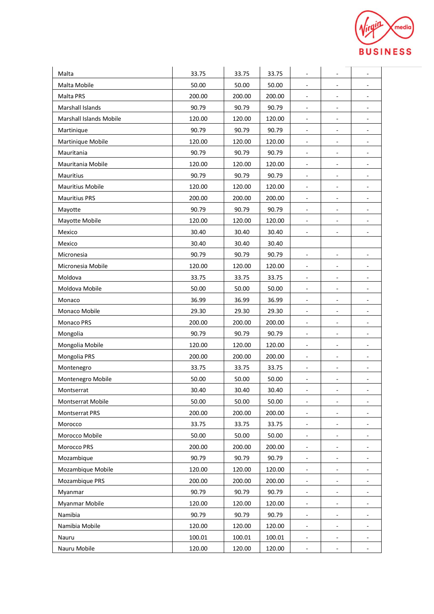

| Malta                   | 33.75  | 33.75  | 33.75  | $\overline{\phantom{a}}$     | $\qquad \qquad \blacksquare$ | ٠                        |
|-------------------------|--------|--------|--------|------------------------------|------------------------------|--------------------------|
| Malta Mobile            | 50.00  | 50.00  | 50.00  | $\overline{\phantom{a}}$     | ۳                            | $\overline{\phantom{a}}$ |
| Malta PRS               | 200.00 | 200.00 | 200.00 | $\overline{\phantom{a}}$     | ۳                            | $\overline{\phantom{a}}$ |
| Marshall Islands        | 90.79  | 90.79  | 90.79  | $\blacksquare$               | ÷,                           | $\overline{\phantom{a}}$ |
| Marshall Islands Mobile | 120.00 | 120.00 | 120.00 | $\overline{\phantom{a}}$     | -                            |                          |
| Martinique              | 90.79  | 90.79  | 90.79  | $\overline{\phantom{a}}$     | $\qquad \qquad \blacksquare$ | $\overline{\phantom{a}}$ |
| Martinique Mobile       | 120.00 | 120.00 | 120.00 | $\overline{\phantom{a}}$     | $\overline{\phantom{a}}$     | $\blacksquare$           |
| Mauritania              | 90.79  | 90.79  | 90.79  | $\blacksquare$               | $\qquad \qquad \blacksquare$ | $\overline{\phantom{a}}$ |
| Mauritania Mobile       | 120.00 | 120.00 | 120.00 | $\overline{\phantom{a}}$     | ۳                            | $\overline{\phantom{a}}$ |
| Mauritius               | 90.79  | 90.79  | 90.79  | $\overline{\phantom{a}}$     | L,                           | $\overline{\phantom{a}}$ |
| <b>Mauritius Mobile</b> | 120.00 | 120.00 | 120.00 | $\overline{\phantom{a}}$     | ۰                            | $\overline{\phantom{a}}$ |
| <b>Mauritius PRS</b>    | 200.00 | 200.00 | 200.00 | $\overline{\phantom{a}}$     | $\qquad \qquad \blacksquare$ | $\overline{\phantom{a}}$ |
| Mayotte                 | 90.79  | 90.79  | 90.79  | $\overline{\phantom{a}}$     | $\qquad \qquad \blacksquare$ | $\overline{\phantom{a}}$ |
| Mayotte Mobile          | 120.00 | 120.00 | 120.00 | $\overline{\phantom{a}}$     | $\qquad \qquad \blacksquare$ | $\overline{\phantom{a}}$ |
| Mexico                  | 30.40  | 30.40  | 30.40  | $\overline{\phantom{a}}$     | ۳                            |                          |
| Mexico                  | 30.40  | 30.40  | 30.40  |                              |                              |                          |
| Micronesia              | 90.79  | 90.79  | 90.79  | $\overline{\phantom{a}}$     | -                            |                          |
| Micronesia Mobile       | 120.00 | 120.00 | 120.00 | $\blacksquare$               | $\blacksquare$               | $\overline{\phantom{a}}$ |
| Moldova                 | 33.75  | 33.75  | 33.75  | $\blacksquare$               | $\overline{a}$               | $\blacksquare$           |
| Moldova Mobile          | 50.00  | 50.00  | 50.00  | $\overline{\phantom{a}}$     | $\qquad \qquad \blacksquare$ | $\overline{\phantom{a}}$ |
| Monaco                  | 36.99  | 36.99  | 36.99  | $\overline{\phantom{a}}$     | ۳                            | $\overline{\phantom{a}}$ |
| Monaco Mobile           | 29.30  | 29.30  | 29.30  | $\bar{a}$                    | ÷,                           | $\overline{\phantom{a}}$ |
| Monaco PRS              | 200.00 | 200.00 | 200.00 | $\overline{\phantom{a}}$     | $\qquad \qquad \blacksquare$ | $\overline{\phantom{0}}$ |
| Mongolia                | 90.79  | 90.79  | 90.79  | $\blacksquare$               | $\overline{\phantom{a}}$     | $\overline{\phantom{a}}$ |
| Mongolia Mobile         | 120.00 | 120.00 | 120.00 | $\overline{\phantom{a}}$     | $\overline{\phantom{a}}$     | ٠                        |
| Mongolia PRS            | 200.00 | 200.00 | 200.00 | $\overline{\phantom{a}}$     | $\overline{\phantom{0}}$     | $\overline{\phantom{a}}$ |
| Montenegro              | 33.75  | 33.75  | 33.75  | $\overline{\phantom{a}}$     | ۳                            | $\overline{\phantom{a}}$ |
| Montenegro Mobile       | 50.00  | 50.00  | 50.00  | $\qquad \qquad \blacksquare$ | -                            | ۰                        |
| Montserrat              | 30.40  | 30.40  | 30.40  | $\blacksquare$               |                              | $\overline{\phantom{a}}$ |
| Montserrat Mobile       | 50.00  | 50.00  | 50.00  | $\blacksquare$               | $\qquad \qquad \blacksquare$ | $\overline{\phantom{a}}$ |
| Montserrat PRS          | 200.00 | 200.00 | 200.00 | $\overline{\phantom{a}}$     | $\qquad \qquad \blacksquare$ |                          |
| Morocco                 | 33.75  | 33.75  | 33.75  | $\overline{\phantom{a}}$     | -                            |                          |
| Morocco Mobile          | 50.00  | 50.00  | 50.00  | $\blacksquare$               | $\qquad \qquad \blacksquare$ | $\overline{\phantom{0}}$ |
| Morocco PRS             | 200.00 | 200.00 | 200.00 |                              |                              |                          |
| Mozambique              | 90.79  | 90.79  | 90.79  | $\overline{\phantom{a}}$     | $\qquad \qquad \blacksquare$ | $\overline{\phantom{a}}$ |
| Mozambique Mobile       | 120.00 | 120.00 | 120.00 | $\overline{\phantom{a}}$     | $\overline{\phantom{0}}$     |                          |
| Mozambique PRS          | 200.00 | 200.00 | 200.00 | $\overline{\phantom{a}}$     | $\overline{\phantom{0}}$     | $\overline{\phantom{a}}$ |
| Myanmar                 | 90.79  | 90.79  | 90.79  | $\overline{\phantom{a}}$     | -                            |                          |
| Myanmar Mobile          | 120.00 | 120.00 | 120.00 | $\overline{\phantom{a}}$     | $\blacksquare$               |                          |
| Namibia                 | 90.79  | 90.79  | 90.79  | $\blacksquare$               | -                            | -                        |
| Namibia Mobile          | 120.00 | 120.00 | 120.00 | $\blacksquare$               | ۰                            |                          |
| Nauru                   | 100.01 | 100.01 | 100.01 | $\overline{\phantom{a}}$     | $\overline{\phantom{a}}$     | $\overline{\phantom{a}}$ |
| Nauru Mobile            | 120.00 | 120.00 | 120.00 | $\blacksquare$               |                              |                          |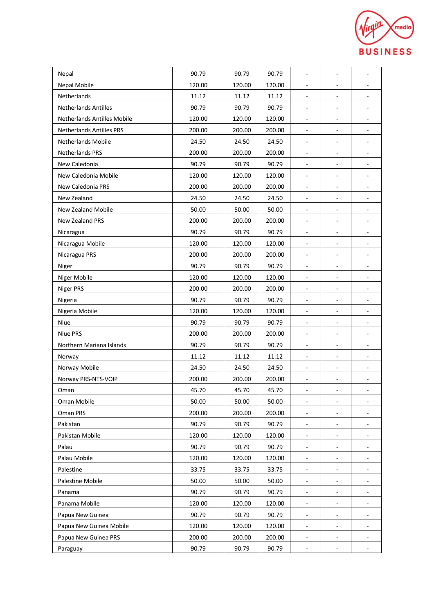

| Nepal                              | 90.79  | 90.79  | 90.79  | $\overline{\phantom{a}}$     | $\qquad \qquad \blacksquare$ | ٠                        |
|------------------------------------|--------|--------|--------|------------------------------|------------------------------|--------------------------|
| Nepal Mobile                       | 120.00 | 120.00 | 120.00 | $\overline{\phantom{a}}$     | ۳                            | $\overline{\phantom{a}}$ |
| Netherlands                        | 11.12  | 11.12  | 11.12  | $\overline{\phantom{a}}$     | ۳                            | $\overline{\phantom{a}}$ |
| <b>Netherlands Antilles</b>        | 90.79  | 90.79  | 90.79  | $\blacksquare$               | ÷,                           | $\overline{\phantom{a}}$ |
| <b>Netherlands Antilles Mobile</b> | 120.00 | 120.00 | 120.00 | $\overline{\phantom{a}}$     | -                            |                          |
| <b>Netherlands Antilles PRS</b>    | 200.00 | 200.00 | 200.00 | $\overline{\phantom{a}}$     | $\qquad \qquad \blacksquare$ | $\overline{\phantom{a}}$ |
| Netherlands Mobile                 | 24.50  | 24.50  | 24.50  | $\overline{\phantom{a}}$     | $\overline{\phantom{a}}$     | $\blacksquare$           |
| <b>Netherlands PRS</b>             | 200.00 | 200.00 | 200.00 | $\blacksquare$               | $\qquad \qquad \blacksquare$ | $\overline{\phantom{a}}$ |
| New Caledonia                      | 90.79  | 90.79  | 90.79  | $\overline{\phantom{a}}$     | ۳                            | $\overline{\phantom{a}}$ |
| New Caledonia Mobile               | 120.00 | 120.00 | 120.00 | $\overline{\phantom{a}}$     | L,                           | $\overline{\phantom{a}}$ |
| New Caledonia PRS                  | 200.00 | 200.00 | 200.00 | $\overline{\phantom{a}}$     | ۰                            | $\overline{\phantom{a}}$ |
| New Zealand                        | 24.50  | 24.50  | 24.50  | $\overline{\phantom{a}}$     | $\qquad \qquad \blacksquare$ | $\overline{\phantom{a}}$ |
| <b>New Zealand Mobile</b>          | 50.00  | 50.00  | 50.00  | $\overline{\phantom{a}}$     | $\qquad \qquad \blacksquare$ | $\overline{\phantom{a}}$ |
| <b>New Zealand PRS</b>             | 200.00 | 200.00 | 200.00 | $\overline{\phantom{a}}$     | $\qquad \qquad \blacksquare$ | $\overline{\phantom{a}}$ |
| Nicaragua                          | 90.79  | 90.79  | 90.79  | $\overline{\phantom{a}}$     | ۳                            |                          |
| Nicaragua Mobile                   | 120.00 | 120.00 | 120.00 | $\overline{\phantom{a}}$     | ۳                            | $\overline{\phantom{a}}$ |
| Nicaragua PRS                      | 200.00 | 200.00 | 200.00 | $\overline{\phantom{a}}$     | $\overline{\phantom{0}}$     |                          |
| Niger                              | 90.79  | 90.79  | 90.79  | $\blacksquare$               | $\qquad \qquad \blacksquare$ | $\overline{\phantom{a}}$ |
| Niger Mobile                       | 120.00 | 120.00 | 120.00 | $\blacksquare$               | $\qquad \qquad \blacksquare$ | $\blacksquare$           |
| <b>Niger PRS</b>                   | 200.00 | 200.00 | 200.00 | $\overline{\phantom{a}}$     | $\qquad \qquad \blacksquare$ | $\overline{\phantom{a}}$ |
| Nigeria                            | 90.79  | 90.79  | 90.79  | $\overline{\phantom{a}}$     | ۳                            | $\overline{a}$           |
| Nigeria Mobile                     | 120.00 | 120.00 | 120.00 | $\bar{a}$                    | ÷,                           | $\overline{\phantom{a}}$ |
| Niue                               | 90.79  | 90.79  | 90.79  | $\overline{\phantom{a}}$     | ۰                            | $\overline{\phantom{a}}$ |
| <b>Niue PRS</b>                    | 200.00 | 200.00 | 200.00 | $\blacksquare$               | $\overline{\phantom{a}}$     | $\overline{\phantom{a}}$ |
| Northern Mariana Islands           | 90.79  | 90.79  | 90.79  | $\overline{\phantom{a}}$     | $\overline{\phantom{a}}$     | $\overline{\phantom{a}}$ |
| Norway                             | 11.12  | 11.12  | 11.12  | $\overline{\phantom{a}}$     | $\overline{\phantom{0}}$     | $\overline{\phantom{a}}$ |
| Norway Mobile                      | 24.50  | 24.50  | 24.50  | $\overline{\phantom{a}}$     | ۳                            | ٠                        |
| Norway PRS-NTS-VOIP                | 200.00 | 200.00 | 200.00 | $\qquad \qquad \blacksquare$ | -                            | ۰                        |
| Oman                               | 45.70  | 45.70  | 45.70  | $\overline{\phantom{a}}$     |                              | ۰                        |
| Oman Mobile                        | 50.00  | 50.00  | 50.00  | $\overline{\phantom{a}}$     | $\qquad \qquad \blacksquare$ | $\overline{\phantom{a}}$ |
| Oman PRS                           | 200.00 | 200.00 | 200.00 | $\overline{\phantom{a}}$     | -                            |                          |
| Pakistan                           | 90.79  | 90.79  | 90.79  | $\overline{\phantom{a}}$     | -                            |                          |
| Pakistan Mobile                    | 120.00 | 120.00 | 120.00 | $\blacksquare$               | $\frac{1}{2}$                | $\overline{\phantom{a}}$ |
| Palau                              | 90.79  | 90.79  | 90.79  |                              |                              |                          |
| Palau Mobile                       | 120.00 | 120.00 | 120.00 | $\overline{\phantom{a}}$     | $\qquad \qquad \blacksquare$ | $\overline{\phantom{a}}$ |
| Palestine                          | 33.75  | 33.75  | 33.75  | $\overline{\phantom{a}}$     | $\qquad \qquad \blacksquare$ |                          |
| Palestine Mobile                   | 50.00  | 50.00  | 50.00  | $\overline{\phantom{a}}$     | $\overline{\phantom{0}}$     | $\overline{\phantom{a}}$ |
| Panama                             | 90.79  | 90.79  | 90.79  | $\overline{\phantom{a}}$     | -                            |                          |
| Panama Mobile                      | 120.00 | 120.00 | 120.00 | $\overline{\phantom{a}}$     |                              |                          |
| Papua New Guinea                   | 90.79  | 90.79  | 90.79  | ۰                            | -                            | ۰                        |
| Papua New Guinea Mobile            | 120.00 | 120.00 | 120.00 | $\blacksquare$               | -                            |                          |
| Papua New Guinea PRS               | 200.00 | 200.00 | 200.00 | $\overline{\phantom{a}}$     | $\overline{\phantom{a}}$     | $\overline{\phantom{a}}$ |
| Paraguay                           | 90.79  | 90.79  | 90.79  | $\overline{\phantom{a}}$     | -                            | ٠                        |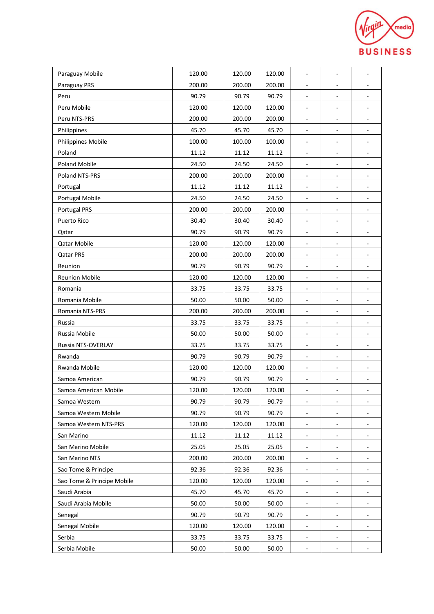

| Paraguay Mobile            | 120.00 | 120.00 | 120.00 | $\overline{\phantom{a}}$     | $\qquad \qquad \blacksquare$ | ٠                        |
|----------------------------|--------|--------|--------|------------------------------|------------------------------|--------------------------|
| Paraguay PRS               | 200.00 | 200.00 | 200.00 | $\overline{\phantom{a}}$     | ۳                            | ÷.                       |
| Peru                       | 90.79  | 90.79  | 90.79  | $\overline{\phantom{a}}$     | ÷,                           | $\overline{\phantom{a}}$ |
| Peru Mobile                | 120.00 | 120.00 | 120.00 | $\blacksquare$               | $\overline{\phantom{a}}$     | $\overline{\phantom{a}}$ |
| Peru NTS-PRS               | 200.00 | 200.00 | 200.00 | $\overline{\phantom{a}}$     | -                            |                          |
| Philippines                | 45.70  | 45.70  | 45.70  | $\overline{\phantom{a}}$     | $\overline{\phantom{0}}$     | $\overline{\phantom{a}}$ |
| Philippines Mobile         | 100.00 | 100.00 | 100.00 | $\overline{\phantom{a}}$     | $\qquad \qquad \blacksquare$ | $\blacksquare$           |
| Poland                     | 11.12  | 11.12  | 11.12  | $\overline{\phantom{a}}$     | $\qquad \qquad \blacksquare$ | $\overline{\phantom{a}}$ |
| Poland Mobile              | 24.50  | 24.50  | 24.50  | $\overline{\phantom{a}}$     | ۳                            | $\overline{\phantom{a}}$ |
| Poland NTS-PRS             | 200.00 | 200.00 | 200.00 | $\blacksquare$               | L,                           | $\overline{\phantom{a}}$ |
| Portugal                   | 11.12  | 11.12  | 11.12  | $\overline{\phantom{a}}$     | $\qquad \qquad \blacksquare$ | $\overline{\phantom{0}}$ |
| Portugal Mobile            | 24.50  | 24.50  | 24.50  | $\overline{\phantom{a}}$     | $\qquad \qquad \blacksquare$ | $\overline{\phantom{a}}$ |
| <b>Portugal PRS</b>        | 200.00 | 200.00 | 200.00 | $\overline{\phantom{a}}$     | $\overline{\phantom{0}}$     | $\overline{\phantom{a}}$ |
| Puerto Rico                | 30.40  | 30.40  | 30.40  | $\overline{\phantom{a}}$     | $\qquad \qquad \blacksquare$ | $\overline{\phantom{a}}$ |
| Qatar                      | 90.79  | 90.79  | 90.79  | $\overline{\phantom{a}}$     | ۳                            |                          |
| <b>Qatar Mobile</b>        | 120.00 | 120.00 | 120.00 | $\overline{\phantom{a}}$     | $\qquad \qquad \blacksquare$ | $\overline{\phantom{a}}$ |
| Qatar PRS                  | 200.00 | 200.00 | 200.00 | ۰                            | ۰                            |                          |
| Reunion                    | 90.79  | 90.79  | 90.79  | $\overline{\phantom{a}}$     | $\blacksquare$               | $\overline{\phantom{a}}$ |
| <b>Reunion Mobile</b>      | 120.00 | 120.00 | 120.00 | $\blacksquare$               | $\qquad \qquad \blacksquare$ | ٠                        |
| Romania                    | 33.75  | 33.75  | 33.75  | $\overline{\phantom{a}}$     | $\qquad \qquad \blacksquare$ | $\overline{\phantom{a}}$ |
| Romania Mobile             | 50.00  | 50.00  | 50.00  | $\overline{\phantom{a}}$     | ÷,                           | $\overline{\phantom{a}}$ |
| Romania NTS-PRS            | 200.00 | 200.00 | 200.00 | $\blacksquare$               | $\overline{\phantom{a}}$     | $\overline{\phantom{a}}$ |
| Russia                     | 33.75  | 33.75  | 33.75  | $\overline{\phantom{a}}$     | $\qquad \qquad \blacksquare$ | $\overline{\phantom{0}}$ |
| Russia Mobile              | 50.00  | 50.00  | 50.00  | $\blacksquare$               | $\overline{\phantom{a}}$     | $\overline{\phantom{a}}$ |
| Russia NTS-OVERLAY         | 33.75  | 33.75  | 33.75  | $\overline{\phantom{a}}$     | $\overline{\phantom{a}}$     | $\blacksquare$           |
| Rwanda                     | 90.79  | 90.79  | 90.79  | $\overline{\phantom{a}}$     | $\overline{\phantom{0}}$     | $\overline{\phantom{a}}$ |
| Rwanda Mobile              | 120.00 | 120.00 | 120.00 | $\overline{\phantom{a}}$     | ÷,                           | $\overline{a}$           |
| Samoa American             | 90.79  | 90.79  | 90.79  | $\qquad \qquad \blacksquare$ | -                            | ۰                        |
| Samoa American Mobile      | 120.00 | 120.00 | 120.00 | $\overline{\phantom{a}}$     | -                            | $\overline{\phantom{0}}$ |
| Samoa Western              | 90.79  | 90.79  | 90.79  | $\overline{\phantom{a}}$     | $\frac{1}{2}$                | $\overline{\phantom{a}}$ |
| Samoa Western Mobile       | 90.79  | 90.79  | 90.79  | $\overline{\phantom{a}}$     | -                            |                          |
| Samoa Western NTS-PRS      | 120.00 | 120.00 | 120.00 | $\overline{\phantom{a}}$     | -                            |                          |
| San Marino                 | 11.12  | 11.12  | 11.12  | $\blacksquare$               | $\overline{\phantom{0}}$     | $\overline{\phantom{a}}$ |
| San Marino Mobile          | 25.05  | 25.05  | 25.05  |                              |                              |                          |
| San Marino NTS             | 200.00 | 200.00 | 200.00 | $\blacksquare$               | $\qquad \qquad \blacksquare$ | $\overline{\phantom{a}}$ |
| Sao Tome & Principe        | 92.36  | 92.36  | 92.36  | $\overline{\phantom{a}}$     | $\qquad \qquad \blacksquare$ |                          |
| Sao Tome & Principe Mobile | 120.00 | 120.00 | 120.00 | $\blacksquare$               | $\qquad \qquad \blacksquare$ | $\overline{\phantom{a}}$ |
| Saudi Arabia               | 45.70  | 45.70  | 45.70  |                              | -                            |                          |
| Saudi Arabia Mobile        | 50.00  | 50.00  | 50.00  | $\overline{\phantom{a}}$     | $\blacksquare$               |                          |
| Senegal                    | 90.79  | 90.79  | 90.79  | $\blacksquare$               | -                            | ۰                        |
| Senegal Mobile             | 120.00 | 120.00 | 120.00 | $\blacksquare$               | ۰                            |                          |
| Serbia                     | 33.75  | 33.75  | 33.75  | $\overline{\phantom{a}}$     | $\overline{\phantom{0}}$     | $\overline{\phantom{a}}$ |
| Serbia Mobile              | 50.00  | 50.00  | 50.00  | $\overline{\phantom{a}}$     | -                            | ٠                        |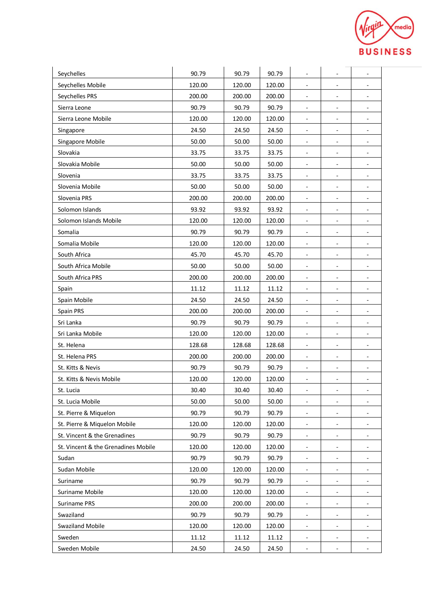

| Seychelles                          | 90.79  | 90.79  | 90.79  | $\overline{\phantom{a}}$ | ۰                            | $\overline{\phantom{a}}$ |
|-------------------------------------|--------|--------|--------|--------------------------|------------------------------|--------------------------|
| Seychelles Mobile                   | 120.00 | 120.00 | 120.00 | $\overline{\phantom{a}}$ | ÷,                           | $\overline{\phantom{a}}$ |
| Seychelles PRS                      | 200.00 | 200.00 | 200.00 | $\overline{\phantom{a}}$ | ÷,                           | $\overline{\phantom{a}}$ |
| Sierra Leone                        | 90.79  | 90.79  | 90.79  | $\blacksquare$           | $\overline{\phantom{a}}$     | $\overline{\phantom{a}}$ |
| Sierra Leone Mobile                 | 120.00 | 120.00 | 120.00 | $\overline{\phantom{a}}$ |                              |                          |
| Singapore                           | 24.50  | 24.50  | 24.50  | $\overline{\phantom{a}}$ | $\overline{\phantom{0}}$     | $\overline{\phantom{a}}$ |
| Singapore Mobile                    | 50.00  | 50.00  | 50.00  | $\sim$                   | $\overline{\phantom{a}}$     | $\blacksquare$           |
| Slovakia                            | 33.75  | 33.75  | 33.75  | $\overline{\phantom{a}}$ | $\qquad \qquad \blacksquare$ | $\overline{\phantom{a}}$ |
| Slovakia Mobile                     | 50.00  | 50.00  | 50.00  | $\overline{\phantom{a}}$ | $\qquad \qquad \blacksquare$ | $\overline{\phantom{a}}$ |
| Slovenia                            | 33.75  | 33.75  | 33.75  | $\overline{\phantom{a}}$ | ÷,                           | $\overline{a}$           |
| Slovenia Mobile                     | 50.00  | 50.00  | 50.00  | $\overline{\phantom{a}}$ | $\overline{\phantom{0}}$     | $\overline{\phantom{0}}$ |
| Slovenia PRS                        | 200.00 | 200.00 | 200.00 | $\overline{\phantom{a}}$ | $\overline{\phantom{0}}$     | ۰                        |
| Solomon Islands                     | 93.92  | 93.92  | 93.92  | $\blacksquare$           | $\blacksquare$               | $\overline{\phantom{a}}$ |
| Solomon Islands Mobile              | 120.00 | 120.00 | 120.00 | $\overline{\phantom{a}}$ | $\qquad \qquad \blacksquare$ | $\blacksquare$           |
| Somalia                             | 90.79  | 90.79  | 90.79  | $\blacksquare$           | ÷,                           | ä,                       |
| Somalia Mobile                      | 120.00 | 120.00 | 120.00 | ۰                        | $\qquad \qquad \blacksquare$ | ۰                        |
| South Africa                        | 45.70  | 45.70  | 45.70  | $\overline{\phantom{a}}$ | $\overline{\phantom{0}}$     | ۰                        |
| South Africa Mobile                 | 50.00  | 50.00  | 50.00  | $\overline{\phantom{a}}$ | $\overline{\phantom{0}}$     | ۰                        |
| South Africa PRS                    | 200.00 | 200.00 | 200.00 | $\overline{\phantom{a}}$ | $\qquad \qquad \blacksquare$ | $\overline{\phantom{a}}$ |
| Spain                               | 11.12  | 11.12  | 11.12  | $\overline{\phantom{a}}$ | $\qquad \qquad \blacksquare$ | $\overline{\phantom{a}}$ |
| Spain Mobile                        | 24.50  | 24.50  | 24.50  | $\overline{\phantom{a}}$ | $\qquad \qquad \blacksquare$ | $\overline{\phantom{a}}$ |
| Spain PRS                           | 200.00 | 200.00 | 200.00 | $\blacksquare$           | $\overline{\phantom{a}}$     |                          |
| Sri Lanka                           | 90.79  | 90.79  | 90.79  | $\overline{\phantom{a}}$ | $\qquad \qquad \blacksquare$ | ۰                        |
| Sri Lanka Mobile                    | 120.00 | 120.00 | 120.00 | $\blacksquare$           | $\qquad \qquad \blacksquare$ | $\overline{\phantom{a}}$ |
| St. Helena                          | 128.68 | 128.68 | 128.68 | $\overline{\phantom{a}}$ | $\qquad \qquad \blacksquare$ | $\overline{\phantom{a}}$ |
| St. Helena PRS                      | 200.00 | 200.00 | 200.00 | $\overline{\phantom{a}}$ | $\qquad \qquad \blacksquare$ | $\overline{\phantom{a}}$ |
| St. Kitts & Nevis                   | 90.79  | 90.79  | 90.79  | $\overline{\phantom{a}}$ | ÷,                           | $\overline{a}$           |
| St. Kitts & Nevis Mobile            | 120.00 | 120.00 | 120.00 | ۰                        | $\overline{\phantom{m}}$     | ۰                        |
| St. Lucia                           | 30.40  | 30.40  | 30.40  |                          |                              | ۰                        |
| St. Lucia Mobile                    | 50.00  | 50.00  | 50.00  | $\blacksquare$           | $\overline{\phantom{0}}$     | $\overline{\phantom{0}}$ |
| St. Pierre & Miquelon               | 90.79  | 90.79  | 90.79  | $\blacksquare$           | $\qquad \qquad \blacksquare$ | ٠                        |
| St. Pierre & Miquelon Mobile        | 120.00 | 120.00 | 120.00 | $\overline{\phantom{a}}$ | $\overline{\phantom{0}}$     |                          |
| St. Vincent & the Grenadines        | 90.79  | 90.79  | 90.79  | $\overline{\phantom{a}}$ | $\frac{1}{2}$                | $\blacksquare$           |
| St. Vincent & the Grenadines Mobile | 120.00 | 120.00 | 120.00 |                          |                              |                          |
| Sudan                               | 90.79  | 90.79  | 90.79  | $\blacksquare$           | ۰                            | ۰                        |
| Sudan Mobile                        | 120.00 | 120.00 | 120.00 | $\blacksquare$           |                              |                          |
| Suriname                            | 90.79  | 90.79  | 90.79  | $\blacksquare$           | ۰                            | ۰                        |
| Suriname Mobile                     | 120.00 | 120.00 | 120.00 | $\blacksquare$           | $\overline{\phantom{0}}$     |                          |
| Suriname PRS                        | 200.00 | 200.00 | 200.00 | $\blacksquare$           | $\overline{\phantom{0}}$     |                          |
| Swaziland                           | 90.79  | 90.79  | 90.79  | ۳                        | ۰                            | $\overline{\phantom{0}}$ |
| <b>Swaziland Mobile</b>             | 120.00 | 120.00 | 120.00 | $\blacksquare$           | ۰                            |                          |
| Sweden                              | 11.12  | 11.12  | 11.12  | $\blacksquare$           | $\blacksquare$               | $\overline{\phantom{a}}$ |
| Sweden Mobile                       | 24.50  | 24.50  | 24.50  | ۰                        |                              |                          |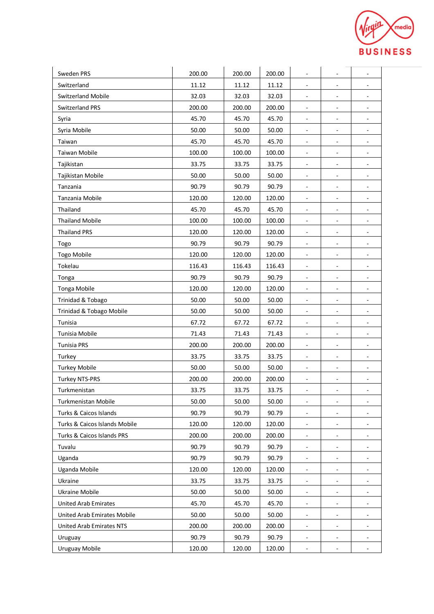

| Sweden PRS                      | 200.00 | 200.00 | 200.00 | $\overline{\phantom{a}}$ | $\overline{\phantom{a}}$     | $\blacksquare$               |
|---------------------------------|--------|--------|--------|--------------------------|------------------------------|------------------------------|
| Switzerland                     | 11.12  | 11.12  | 11.12  |                          |                              |                              |
| Switzerland Mobile              | 32.03  | 32.03  | 32.03  | $\sim$                   |                              |                              |
| <b>Switzerland PRS</b>          | 200.00 | 200.00 | 200.00 | $\blacksquare$           | $\overline{\phantom{a}}$     | ۰                            |
| Syria                           | 45.70  | 45.70  | 45.70  |                          | $\overline{\phantom{a}}$     |                              |
| Syria Mobile                    | 50.00  | 50.00  | 50.00  | $\blacksquare$           | $\overline{\phantom{a}}$     | $\overline{\phantom{a}}$     |
| Taiwan                          | 45.70  | 45.70  | 45.70  | $\blacksquare$           | $\overline{\phantom{a}}$     | $\overline{\phantom{a}}$     |
| Taiwan Mobile                   | 100.00 | 100.00 | 100.00 | $\overline{\phantom{a}}$ | $\overline{\phantom{a}}$     | $\overline{\phantom{a}}$     |
| Tajikistan                      | 33.75  | 33.75  | 33.75  | $\overline{\phantom{a}}$ | $\sim$                       | ٠                            |
| Tajikistan Mobile               | 50.00  | 50.00  | 50.00  |                          | $\qquad \qquad \blacksquare$ |                              |
| Tanzania                        | 90.79  | 90.79  | 90.79  | $\overline{\phantom{a}}$ | $\overline{\phantom{a}}$     | $\overline{\phantom{a}}$     |
| Tanzania Mobile                 | 120.00 | 120.00 | 120.00 | $\blacksquare$           | $\blacksquare$               | ٠                            |
| Thailand                        | 45.70  | 45.70  | 45.70  | $\overline{\phantom{a}}$ | $\overline{\phantom{a}}$     | $\blacksquare$               |
| <b>Thailand Mobile</b>          | 100.00 | 100.00 | 100.00 |                          | $\overline{\phantom{a}}$     |                              |
| <b>Thailand PRS</b>             | 120.00 | 120.00 | 120.00 | $\sim$                   | $\frac{1}{2}$                |                              |
| Togo                            | 90.79  | 90.79  | 90.79  | $\overline{\phantom{a}}$ | $\overline{\phantom{a}}$     | $\overline{\phantom{a}}$     |
| Togo Mobile                     | 120.00 | 120.00 | 120.00 | $\overline{\phantom{a}}$ | $\overline{\phantom{a}}$     | $\overline{\phantom{a}}$     |
| Tokelau                         | 116.43 | 116.43 | 116.43 | $\blacksquare$           | $\overline{\phantom{a}}$     | $\overline{\phantom{a}}$     |
| Tonga                           | 90.79  | 90.79  | 90.79  | $\overline{\phantom{a}}$ | $\overline{\phantom{a}}$     | $\overline{\phantom{a}}$     |
| Tonga Mobile                    | 120.00 | 120.00 | 120.00 | $\overline{\phantom{a}}$ |                              |                              |
| Trinidad & Tobago               | 50.00  | 50.00  | 50.00  | $\overline{\phantom{a}}$ | $\blacksquare$               | $\blacksquare$               |
| Trinidad & Tobago Mobile        | 50.00  | 50.00  | 50.00  | $\overline{\phantom{a}}$ | $\qquad \qquad \blacksquare$ |                              |
| Tunisia                         | 67.72  | 67.72  | 67.72  | $\overline{\phantom{a}}$ | $\overline{\phantom{a}}$     | $\overline{\phantom{a}}$     |
| Tunisia Mobile                  | 71.43  | 71.43  | 71.43  | $\blacksquare$           | $\overline{\phantom{a}}$     | ٠                            |
| <b>Tunisia PRS</b>              | 200.00 | 200.00 | 200.00 | $\overline{\phantom{a}}$ | $\overline{\phantom{a}}$     | $\overline{\phantom{a}}$     |
| Turkey                          | 33.75  | 33.75  | 33.75  | $\overline{\phantom{a}}$ | $\overline{\phantom{a}}$     | $\overline{\phantom{a}}$     |
| <b>Turkey Mobile</b>            | 50.00  | 50.00  | 50.00  | $\overline{\phantom{a}}$ | $\overline{\phantom{a}}$     |                              |
| <b>Turkey NTS-PRS</b>           | 200.00 | 200.00 | 200.00 | $\overline{\phantom{a}}$ | $\overline{\phantom{a}}$     | $\qquad \qquad \blacksquare$ |
| Turkmenistan                    | 33.75  | 33.75  | 33.75  |                          |                              |                              |
| Turkmenistan Mobile             | 50.00  | 50.00  | 50.00  | $\overline{\phantom{a}}$ | $\overline{\phantom{a}}$     | ٠                            |
| Turks & Caicos Islands          | 90.79  | 90.79  | 90.79  | $\overline{\phantom{a}}$ |                              |                              |
| Turks & Caicos Islands Mobile   | 120.00 | 120.00 | 120.00 |                          |                              |                              |
| Turks & Caicos Islands PRS      | 200.00 | 200.00 | 200.00 | $\overline{\phantom{a}}$ | $\overline{\phantom{a}}$     |                              |
| Tuvalu                          | 90.79  | 90.79  | 90.79  |                          |                              |                              |
| Uganda                          | 90.79  | 90.79  | 90.79  | $\overline{\phantom{a}}$ | $\overline{\phantom{a}}$     | ۰                            |
| Uganda Mobile                   | 120.00 | 120.00 | 120.00 | $\overline{\phantom{a}}$ | $\overline{\phantom{a}}$     |                              |
| Ukraine                         | 33.75  | 33.75  | 33.75  | $\overline{\phantom{a}}$ | $\overline{\phantom{a}}$     |                              |
| Ukraine Mobile                  | 50.00  | 50.00  | 50.00  | $\overline{\phantom{a}}$ | $\overline{\phantom{a}}$     |                              |
| <b>United Arab Emirates</b>     | 45.70  | 45.70  | 45.70  |                          |                              |                              |
| United Arab Emirates Mobile     | 50.00  | 50.00  | 50.00  | $\blacksquare$           | $\overline{\phantom{a}}$     | $\overline{\phantom{a}}$     |
| <b>United Arab Emirates NTS</b> | 200.00 | 200.00 | 200.00 | $\overline{\phantom{a}}$ | $\overline{\phantom{a}}$     |                              |
| Uruguay                         | 90.79  | 90.79  | 90.79  | $\overline{\phantom{a}}$ | $\overline{\phantom{a}}$     | ۰                            |
| <b>Uruguay Mobile</b>           | 120.00 | 120.00 | 120.00 | $\overline{\phantom{a}}$ |                              | $\overline{\phantom{a}}$     |